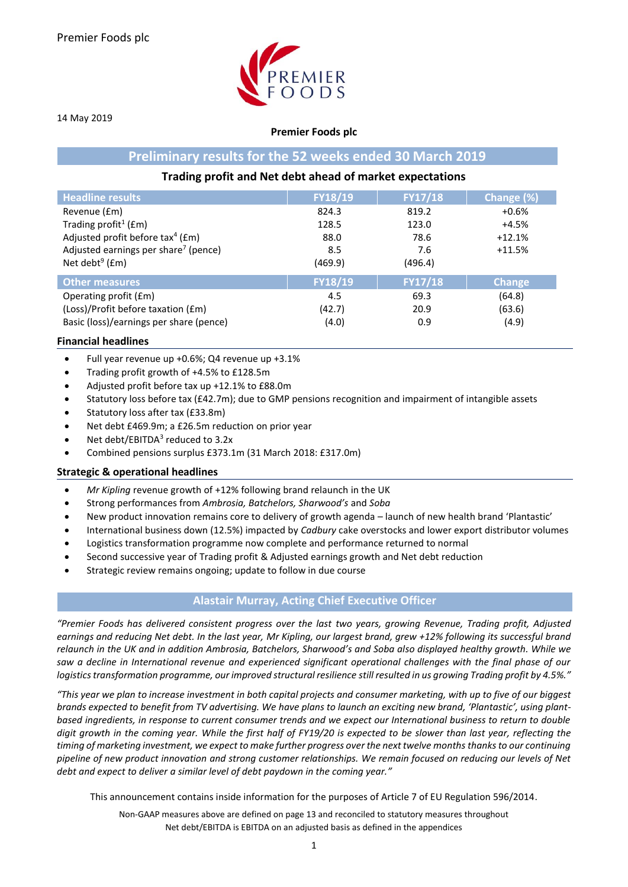

14 May 2019

#### **Premier Foods plc**

## **Preliminary results for the 52 weeks ended 30 March 2019**

## **Trading profit and Net debt ahead of market expectations**

| <b>Headline results</b>                          | <b>FY18/19</b> | <b>FY17/18</b> | Change (%)    |
|--------------------------------------------------|----------------|----------------|---------------|
| Revenue (£m)                                     | 824.3          | 819.2          | $+0.6%$       |
| Trading profit <sup>1</sup> ( $Em$ )             | 128.5          | 123.0          | $+4.5%$       |
| Adjusted profit before tax <sup>4</sup> ( $Em$ ) | 88.0           | 78.6           | $+12.1%$      |
| Adjusted earnings per share <sup>7</sup> (pence) | 8.5            | 7.6            | $+11.5%$      |
| Net debt <sup>9</sup> ( $Em$ )                   | (469.9)        | (496.4)        |               |
| <b>Other measures</b>                            | <b>FY18/19</b> | <b>FY17/18</b> | <b>Change</b> |
| Operating profit (£m)                            | 4.5            | 69.3           | (64.8)        |
| (Loss)/Profit before taxation (£m)               | (42.7)         | 20.9           | (63.6)        |
| Basic (loss)/earnings per share (pence)          | (4.0)          | 0.9            | (4.9)         |

#### **Financial headlines**

- Full year revenue up +0.6%; Q4 revenue up +3.1%
- Trading profit growth of +4.5% to £128.5m
- Adjusted profit before tax up +12.1% to £88.0m
- Statutory loss before tax (£42.7m); due to GMP pensions recognition and impairment of intangible assets
- Statutory loss after tax (£33.8m)
- Net debt £469.9m; a £26.5m reduction on prior year
- Net debt/EBITDA<sup>3</sup> reduced to 3.2x
- Combined pensions surplus £373.1m (31 March 2018: £317.0m)

#### **Strategic & operational headlines**

- *Mr Kipling* revenue growth of +12% following brand relaunch in the UK
- Strong performances from *Ambrosia, Batchelors, Sharwood's* and *Soba*
- New product innovation remains core to delivery of growth agenda launch of new health brand 'Plantastic'
- International business down (12.5%) impacted by *Cadbury* cake overstocks and lower export distributor volumes
- Logistics transformation programme now complete and performance returned to normal
- Second successive year of Trading profit & Adjusted earnings growth and Net debt reduction
- Strategic review remains ongoing; update to follow in due course

#### **Alastair Murray, Acting Chief Executive Officer**

*"Premier Foods has delivered consistent progress over the last two years, growing Revenue, Trading profit, Adjusted earnings and reducing Net debt. In the last year, Mr Kipling, our largest brand, grew +12% following its successful brand relaunch in the UK and in addition Ambrosia, Batchelors, Sharwood's and Soba also displayed healthy growth. While we saw a decline in International revenue and experienced significant operational challenges with the final phase of our logistics transformation programme, our improved structural resilience still resulted in us growing Trading profit by 4.5%."*

*"This year we plan to increase investment in both capital projects and consumer marketing, with up to five of our biggest brands expected to benefit from TV advertising. We have plans to launch an exciting new brand, 'Plantastic', using plantbased ingredients, in response to current consumer trends and we expect our International business to return to double digit growth in the coming year. While the first half of FY19/20 is expected to be slower than last year, reflecting the timing of marketing investment, we expect to make further progress over the next twelve months thanks to our continuing pipeline of new product innovation and strong customer relationships. We remain focused on reducing our levels of Net debt and expect to deliver a similar level of debt paydown in the coming year."*

This announcement contains inside information for the purposes of Article 7 of EU Regulation 596/2014.

Non-GAAP measures above are defined on page 13 and reconciled to statutory measures throughout Net debt/EBITDA is EBITDA on an adjusted basis as defined in the appendices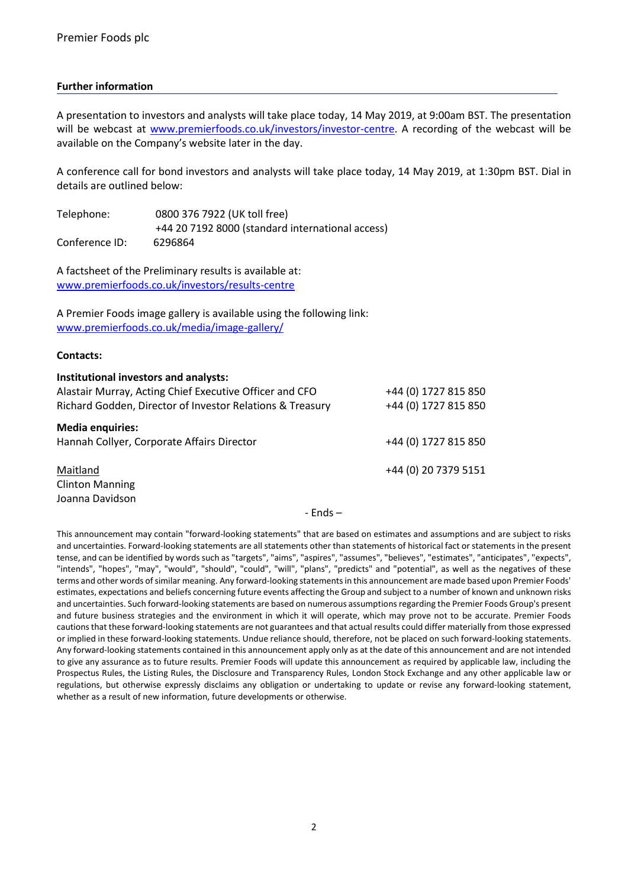#### **Further information**

A presentation to investors and analysts will take place today, 14 May 2019, at 9:00am BST. The presentation will be webcast at [www.premierfoods.co.uk/investors/investor-centre.](http://www.premierfoods.co.uk/investors/investor-centre) A recording of the webcast will be available on the Company's website later in the day.

A conference call for bond investors and analysts will take place today, 14 May 2019, at 1:30pm BST. Dial in details are outlined below:

| Telephone:     | 0800 376 7922 (UK toll free)                     |
|----------------|--------------------------------------------------|
|                | +44 20 7192 8000 (standard international access) |
| Conference ID: | 6296864                                          |

A factsheet of the Preliminary results is available at: [www.premierfoods.co.uk/investors/results-centre](http://www.premierfoods.co.uk/investors/results-centre)

A Premier Foods image gallery is available using the following link: [www.premierfoods.co.uk/media/image-gallery/](http://www.premierfoods.co.uk/media/image-gallery/)

#### **Contacts:**

| Institutional investors and analysts:                     |                      |
|-----------------------------------------------------------|----------------------|
| Alastair Murray, Acting Chief Executive Officer and CFO   | +44 (0) 1727 815 850 |
| Richard Godden, Director of Investor Relations & Treasury | +44 (0) 1727 815 850 |
| <b>Media enquiries:</b>                                   |                      |
| Hannah Collyer, Corporate Affairs Director                | +44 (0) 1727 815 850 |
| Maitland                                                  | +44 (0) 20 7379 5151 |
| <b>Clinton Manning</b>                                    |                      |
| Joanna Davidson                                           |                      |

- Ends –

This announcement may contain "forward-looking statements" that are based on estimates and assumptions and are subject to risks and uncertainties. Forward-looking statements are all statements other than statements of historical fact or statements in the present tense, and can be identified by words such as "targets", "aims", "aspires", "assumes", "believes", "estimates", "anticipates", "expects", "intends", "hopes", "may", "would", "should", "could", "will", "plans", "predicts" and "potential", as well as the negatives of these terms and other words of similar meaning. Any forward-looking statements in this announcement are made based upon Premier Foods' estimates, expectations and beliefs concerning future events affecting the Group and subject to a number of known and unknown risks and uncertainties. Such forward-looking statements are based on numerous assumptions regarding the Premier Foods Group's present and future business strategies and the environment in which it will operate, which may prove not to be accurate. Premier Foods cautions that these forward-looking statements are not guarantees and that actual results could differ materially from those expressed or implied in these forward-looking statements. Undue reliance should, therefore, not be placed on such forward-looking statements. Any forward-looking statements contained in this announcement apply only as at the date of this announcement and are not intended to give any assurance as to future results. Premier Foods will update this announcement as required by applicable law, including the Prospectus Rules, the Listing Rules, the Disclosure and Transparency Rules, London Stock Exchange and any other applicable law or regulations, but otherwise expressly disclaims any obligation or undertaking to update or revise any forward-looking statement, whether as a result of new information, future developments or otherwise.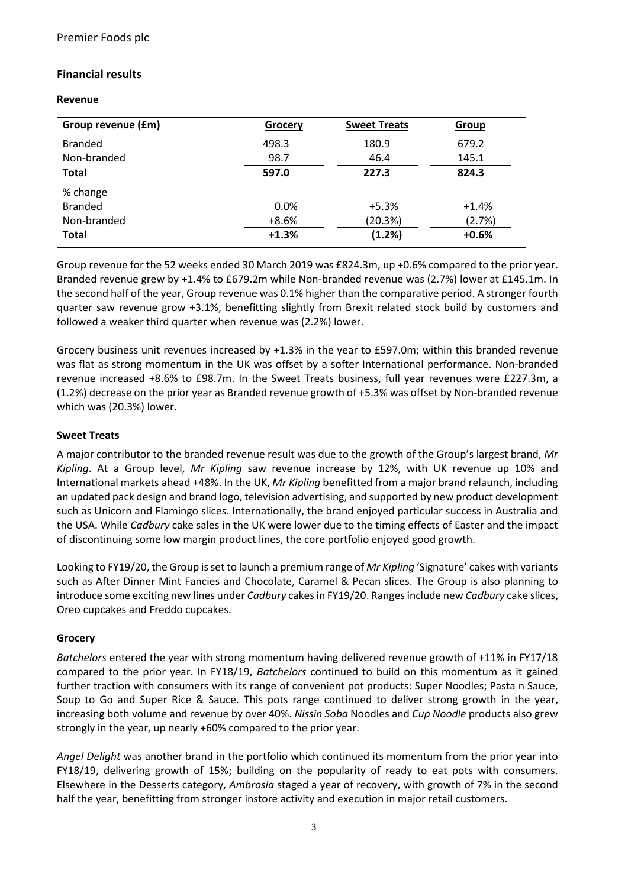## **Financial results**

## **Revenue**

| Group revenue (£m) | Grocery | <b>Sweet Treats</b> | Group   |
|--------------------|---------|---------------------|---------|
| <b>Branded</b>     | 498.3   | 180.9               | 679.2   |
| Non-branded        | 98.7    | 46.4                | 145.1   |
| <b>Total</b>       | 597.0   | 227.3               | 824.3   |
| % change           |         |                     |         |
| <b>Branded</b>     | 0.0%    | $+5.3%$             | $+1.4%$ |
| Non-branded        | $+8.6%$ | (20.3%)             | (2.7%)  |
| <b>Total</b>       | $+1.3%$ | (1.2%)              | $+0.6%$ |

Group revenue for the 52 weeks ended 30 March 2019 was £824.3m, up +0.6% compared to the prior year. Branded revenue grew by +1.4% to £679.2m while Non-branded revenue was (2.7%) lower at £145.1m. In the second half of the year, Group revenue was 0.1% higher than the comparative period. A stronger fourth quarter saw revenue grow +3.1%, benefitting slightly from Brexit related stock build by customers and followed a weaker third quarter when revenue was (2.2%) lower.

Grocery business unit revenues increased by +1.3% in the year to £597.0m; within this branded revenue was flat as strong momentum in the UK was offset by a softer International performance. Non-branded revenue increased +8.6% to £98.7m. In the Sweet Treats business, full year revenues were £227.3m, a (1.2%) decrease on the prior year as Branded revenue growth of +5.3% was offset by Non-branded revenue which was (20.3%) lower.

## **Sweet Treats**

A major contributor to the branded revenue result was due to the growth of the Group's largest brand, *Mr Kipling*. At a Group level, *Mr Kipling* saw revenue increase by 12%, with UK revenue up 10% and International markets ahead +48%. In the UK, *Mr Kipling* benefitted from a major brand relaunch, including an updated pack design and brand logo, television advertising, and supported by new product development such as Unicorn and Flamingo slices. Internationally, the brand enjoyed particular success in Australia and the USA. While *Cadbury* cake sales in the UK were lower due to the timing effects of Easter and the impact of discontinuing some low margin product lines, the core portfolio enjoyed good growth.

Looking to FY19/20, the Group is set to launch a premium range of *Mr Kipling* 'Signature' cakes with variants such as After Dinner Mint Fancies and Chocolate, Caramel & Pecan slices. The Group is also planning to introduce some exciting new lines under *Cadbury* cakes in FY19/20. Ranges include new *Cadbury* cake slices, Oreo cupcakes and Freddo cupcakes.

## **Grocery**

*Batchelors* entered the year with strong momentum having delivered revenue growth of +11% in FY17/18 compared to the prior year. In FY18/19, *Batchelors* continued to build on this momentum as it gained further traction with consumers with its range of convenient pot products: Super Noodles; Pasta n Sauce, Soup to Go and Super Rice & Sauce. This pots range continued to deliver strong growth in the year, increasing both volume and revenue by over 40%. *Nissin Soba* Noodles and *Cup Noodle* products also grew strongly in the year, up nearly +60% compared to the prior year.

*Angel Delight* was another brand in the portfolio which continued its momentum from the prior year into FY18/19, delivering growth of 15%; building on the popularity of ready to eat pots with consumers. Elsewhere in the Desserts category, *Ambrosia* staged a year of recovery, with growth of 7% in the second half the year, benefitting from stronger instore activity and execution in major retail customers.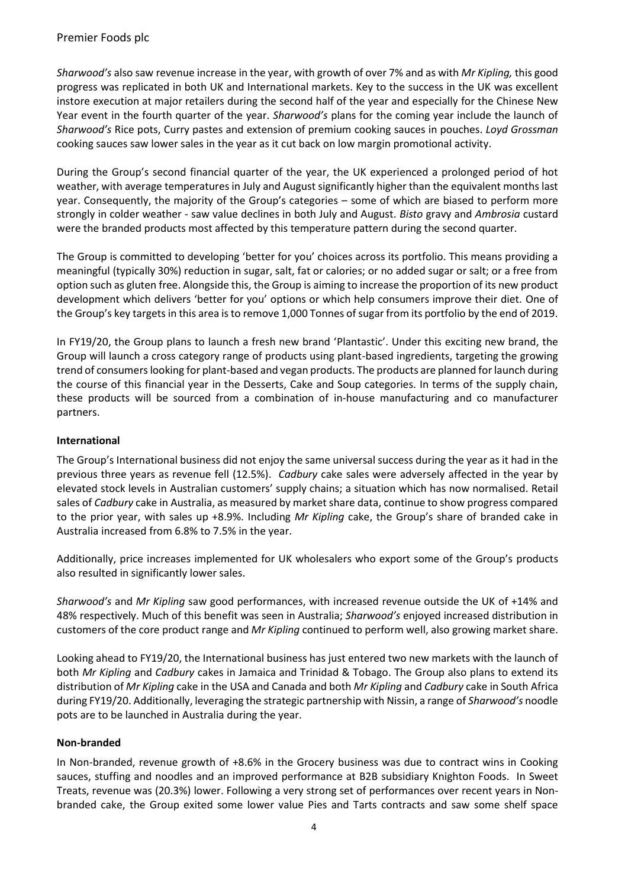*Sharwood's* also saw revenue increase in the year, with growth of over 7% and as with *Mr Kipling,* this good progress was replicated in both UK and International markets. Key to the success in the UK was excellent instore execution at major retailers during the second half of the year and especially for the Chinese New Year event in the fourth quarter of the year. *Sharwood's* plans for the coming year include the launch of *Sharwood's* Rice pots, Curry pastes and extension of premium cooking sauces in pouches. *Loyd Grossman* cooking sauces saw lower sales in the year as it cut back on low margin promotional activity.

During the Group's second financial quarter of the year, the UK experienced a prolonged period of hot weather, with average temperatures in July and August significantly higher than the equivalent months last year. Consequently, the majority of the Group's categories – some of which are biased to perform more strongly in colder weather - saw value declines in both July and August. *Bisto* gravy and *Ambrosia* custard were the branded products most affected by this temperature pattern during the second quarter.

The Group is committed to developing 'better for you' choices across its portfolio. This means providing a meaningful (typically 30%) reduction in sugar, salt, fat or calories; or no added sugar or salt; or a free from option such as gluten free. Alongside this, the Group is aiming to increase the proportion of its new product development which delivers 'better for you' options or which help consumers improve their diet. One of the Group's key targets in this area is to remove 1,000 Tonnes of sugar from its portfolio by the end of 2019.

In FY19/20, the Group plans to launch a fresh new brand 'Plantastic'. Under this exciting new brand, the Group will launch a cross category range of products using plant-based ingredients, targeting the growing trend of consumers looking for plant-based and vegan products. The products are planned for launch during the course of this financial year in the Desserts, Cake and Soup categories. In terms of the supply chain, these products will be sourced from a combination of in-house manufacturing and co manufacturer partners.

## **International**

The Group's International business did not enjoy the same universal success during the year as it had in the previous three years as revenue fell (12.5%). *Cadbury* cake sales were adversely affected in the year by elevated stock levels in Australian customers' supply chains; a situation which has now normalised. Retail sales of *Cadbury* cake in Australia, as measured by market share data, continue to show progress compared to the prior year, with sales up +8.9%. Including *Mr Kipling* cake, the Group's share of branded cake in Australia increased from 6.8% to 7.5% in the year.

Additionally, price increases implemented for UK wholesalers who export some of the Group's products also resulted in significantly lower sales.

*Sharwood's* and *Mr Kipling* saw good performances, with increased revenue outside the UK of +14% and 48% respectively. Much of this benefit was seen in Australia; *Sharwood's* enjoyed increased distribution in customers of the core product range and *Mr Kipling* continued to perform well, also growing market share.

Looking ahead to FY19/20, the International business has just entered two new markets with the launch of both *Mr Kipling* and *Cadbury* cakes in Jamaica and Trinidad & Tobago. The Group also plans to extend its distribution of *Mr Kipling* cake in the USA and Canada and both *Mr Kipling* and *Cadbury* cake in South Africa during FY19/20. Additionally, leveraging the strategic partnership with Nissin, a range of *Sharwood's* noodle pots are to be launched in Australia during the year.

## **Non-branded**

In Non-branded, revenue growth of +8.6% in the Grocery business was due to contract wins in Cooking sauces, stuffing and noodles and an improved performance at B2B subsidiary Knighton Foods. In Sweet Treats, revenue was (20.3%) lower. Following a very strong set of performances over recent years in Nonbranded cake, the Group exited some lower value Pies and Tarts contracts and saw some shelf space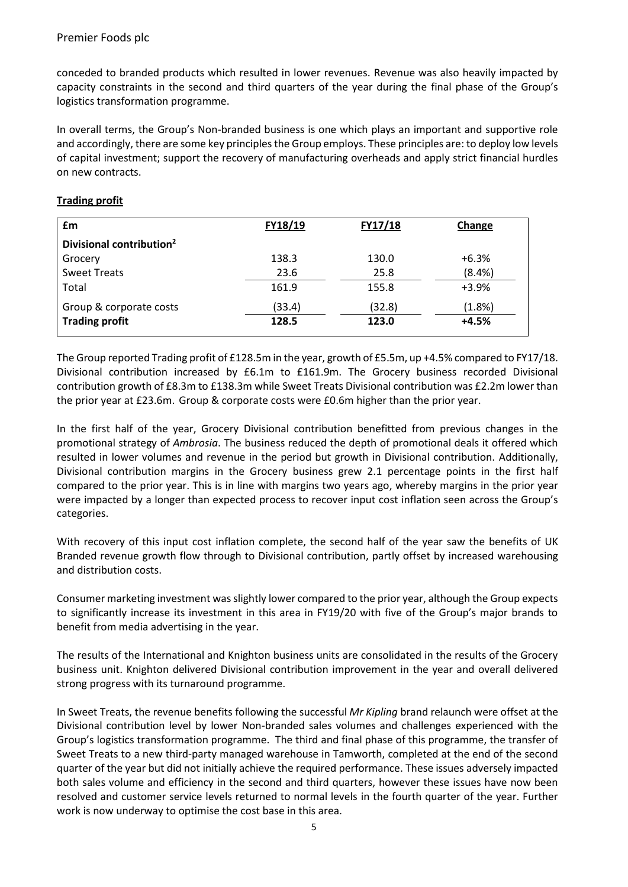## Premier Foods plc

conceded to branded products which resulted in lower revenues. Revenue was also heavily impacted by capacity constraints in the second and third quarters of the year during the final phase of the Group's logistics transformation programme.

In overall terms, the Group's Non-branded business is one which plays an important and supportive role and accordingly, there are some key principles the Group employs. These principles are: to deploy low levels of capital investment; support the recovery of manufacturing overheads and apply strict financial hurdles on new contracts.

| £m                                   | FY18/19 | FY17/18 | Change  |
|--------------------------------------|---------|---------|---------|
| Divisional contribution <sup>2</sup> |         |         |         |
| Grocery                              | 138.3   | 130.0   | $+6.3%$ |
| <b>Sweet Treats</b>                  | 23.6    | 25.8    | (8.4%)  |
| Total                                | 161.9   | 155.8   | $+3.9%$ |
| Group & corporate costs              | (33.4)  | (32.8)  | (1.8% ) |
| <b>Trading profit</b>                | 128.5   | 123.0   | $+4.5%$ |

## **Trading profit**

The Group reported Trading profit of £128.5m in the year, growth of £5.5m, up +4.5% compared to FY17/18. Divisional contribution increased by £6.1m to £161.9m. The Grocery business recorded Divisional contribution growth of £8.3m to £138.3m while Sweet Treats Divisional contribution was £2.2m lower than the prior year at £23.6m. Group & corporate costs were £0.6m higher than the prior year.

In the first half of the year, Grocery Divisional contribution benefitted from previous changes in the promotional strategy of *Ambrosia*. The business reduced the depth of promotional deals it offered which resulted in lower volumes and revenue in the period but growth in Divisional contribution. Additionally, Divisional contribution margins in the Grocery business grew 2.1 percentage points in the first half compared to the prior year. This is in line with margins two years ago, whereby margins in the prior year were impacted by a longer than expected process to recover input cost inflation seen across the Group's categories.

With recovery of this input cost inflation complete, the second half of the year saw the benefits of UK Branded revenue growth flow through to Divisional contribution, partly offset by increased warehousing and distribution costs.

Consumer marketing investment was slightly lower compared to the prior year, although the Group expects to significantly increase its investment in this area in FY19/20 with five of the Group's major brands to benefit from media advertising in the year.

The results of the International and Knighton business units are consolidated in the results of the Grocery business unit. Knighton delivered Divisional contribution improvement in the year and overall delivered strong progress with its turnaround programme.

In Sweet Treats, the revenue benefits following the successful *Mr Kipling* brand relaunch were offset at the Divisional contribution level by lower Non-branded sales volumes and challenges experienced with the Group's logistics transformation programme. The third and final phase of this programme, the transfer of Sweet Treats to a new third-party managed warehouse in Tamworth, completed at the end of the second quarter of the year but did not initially achieve the required performance. These issues adversely impacted both sales volume and efficiency in the second and third quarters, however these issues have now been resolved and customer service levels returned to normal levels in the fourth quarter of the year. Further work is now underway to optimise the cost base in this area.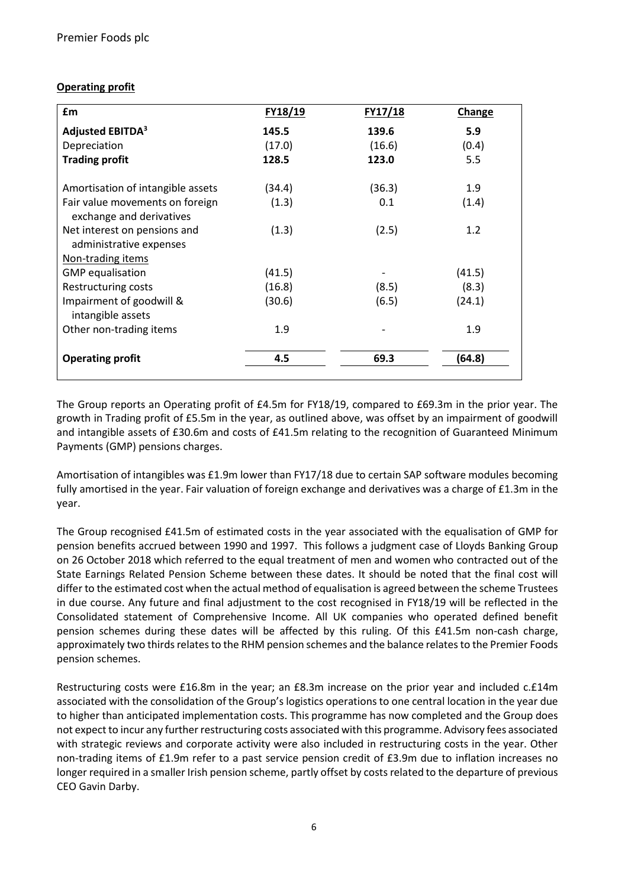## **Operating profit**

| £m                                                          | FY18/19 | FY17/18 | <b>Change</b> |
|-------------------------------------------------------------|---------|---------|---------------|
| Adjusted EBITDA <sup>3</sup>                                | 145.5   | 139.6   | 5.9           |
| Depreciation                                                | (17.0)  | (16.6)  | (0.4)         |
| <b>Trading profit</b>                                       | 128.5   | 123.0   | 5.5           |
| Amortisation of intangible assets                           | (34.4)  | (36.3)  | 1.9           |
| Fair value movements on foreign<br>exchange and derivatives | (1.3)   | 0.1     | (1.4)         |
| Net interest on pensions and<br>administrative expenses     | (1.3)   | (2.5)   | 1.2           |
| Non-trading items                                           |         |         |               |
| <b>GMP</b> equalisation                                     | (41.5)  |         | (41.5)        |
| Restructuring costs                                         | (16.8)  | (8.5)   | (8.3)         |
| Impairment of goodwill &<br>intangible assets               | (30.6)  | (6.5)   | (24.1)        |
| Other non-trading items                                     | 1.9     |         | 1.9           |
| <b>Operating profit</b>                                     | 4.5     | 69.3    | (64.8)        |
|                                                             |         |         |               |

The Group reports an Operating profit of £4.5m for FY18/19, compared to £69.3m in the prior year. The growth in Trading profit of £5.5m in the year, as outlined above, was offset by an impairment of goodwill and intangible assets of £30.6m and costs of £41.5m relating to the recognition of Guaranteed Minimum Payments (GMP) pensions charges.

Amortisation of intangibles was £1.9m lower than FY17/18 due to certain SAP software modules becoming fully amortised in the year. Fair valuation of foreign exchange and derivatives was a charge of £1.3m in the year.

The Group recognised £41.5m of estimated costs in the year associated with the equalisation of GMP for pension benefits accrued between 1990 and 1997. This follows a judgment case of Lloyds Banking Group on 26 October 2018 which referred to the equal treatment of men and women who contracted out of the State Earnings Related Pension Scheme between these dates. It should be noted that the final cost will differ to the estimated cost when the actual method of equalisation is agreed between the scheme Trustees in due course. Any future and final adjustment to the cost recognised in FY18/19 will be reflected in the Consolidated statement of Comprehensive Income. All UK companies who operated defined benefit pension schemes during these dates will be affected by this ruling. Of this £41.5m non-cash charge, approximately two thirds relates to the RHM pension schemes and the balance relates to the Premier Foods pension schemes.

Restructuring costs were £16.8m in the year; an £8.3m increase on the prior year and included c.£14m associated with the consolidation of the Group's logistics operations to one central location in the year due to higher than anticipated implementation costs. This programme has now completed and the Group does not expect to incur any further restructuring costs associated with this programme. Advisory fees associated with strategic reviews and corporate activity were also included in restructuring costs in the year. Other non-trading items of £1.9m refer to a past service pension credit of £3.9m due to inflation increases no longer required in a smaller Irish pension scheme, partly offset by costs related to the departure of previous CEO Gavin Darby.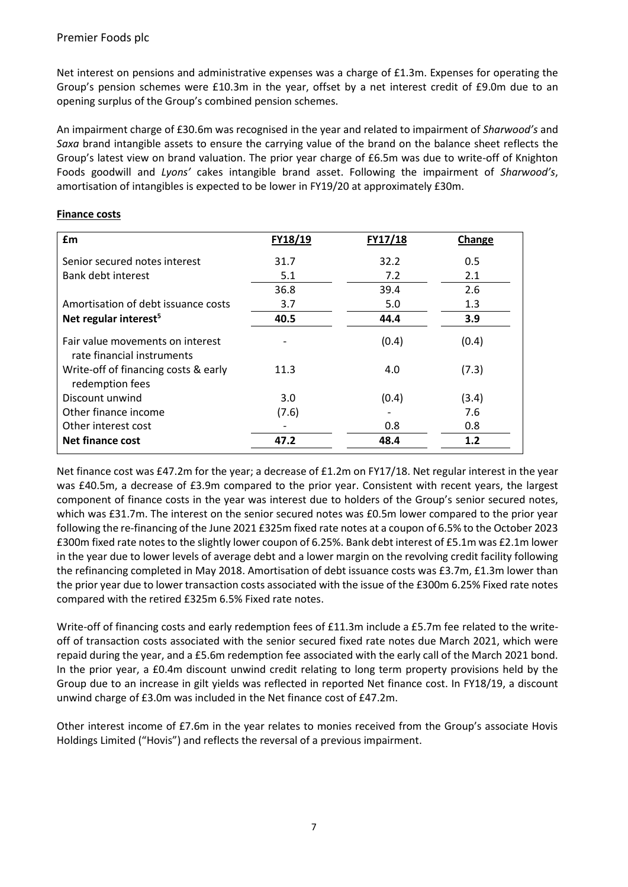Net interest on pensions and administrative expenses was a charge of £1.3m. Expenses for operating the Group's pension schemes were £10.3m in the year, offset by a net interest credit of £9.0m due to an opening surplus of the Group's combined pension schemes.

An impairment charge of £30.6m was recognised in the year and related to impairment of *Sharwood's* and *Saxa* brand intangible assets to ensure the carrying value of the brand on the balance sheet reflects the Group's latest view on brand valuation. The prior year charge of £6.5m was due to write-off of Knighton Foods goodwill and *Lyons'* cakes intangible brand asset. Following the impairment of *Sharwood's*, amortisation of intangibles is expected to be lower in FY19/20 at approximately £30m.

| £m                                                             | FY18/19 | FY17/18 | Change |
|----------------------------------------------------------------|---------|---------|--------|
| Senior secured notes interest                                  | 31.7    | 32.2    | 0.5    |
| Bank debt interest                                             | 5.1     | 7.2     | 2.1    |
|                                                                | 36.8    | 39.4    | 2.6    |
| Amortisation of debt issuance costs                            | 3.7     | 5.0     | 1.3    |
| Net regular interest <sup>5</sup>                              | 40.5    | 44.4    | 3.9    |
| Fair value movements on interest<br>rate financial instruments |         | (0.4)   | (0.4)  |
| Write-off of financing costs & early<br>redemption fees        | 11.3    | 4.0     | (7.3)  |
| Discount unwind                                                | 3.0     | (0.4)   | (3.4)  |
| Other finance income                                           | (7.6)   |         | 7.6    |
| Other interest cost                                            |         | 0.8     | 0.8    |
| Net finance cost                                               | 47.2    | 48.4    | 1.2    |

## **Finance costs**

Net finance cost was £47.2m for the year; a decrease of £1.2m on FY17/18. Net regular interest in the year was £40.5m, a decrease of £3.9m compared to the prior year. Consistent with recent years, the largest component of finance costs in the year was interest due to holders of the Group's senior secured notes, which was £31.7m. The interest on the senior secured notes was £0.5m lower compared to the prior year following the re-financing of the June 2021 £325m fixed rate notes at a coupon of 6.5% to the October 2023 £300m fixed rate notes to the slightly lower coupon of 6.25%. Bank debt interest of £5.1m was £2.1m lower in the year due to lower levels of average debt and a lower margin on the revolving credit facility following the refinancing completed in May 2018. Amortisation of debt issuance costs was £3.7m, £1.3m lower than the prior year due to lower transaction costs associated with the issue of the £300m 6.25% Fixed rate notes compared with the retired £325m 6.5% Fixed rate notes.

Write-off of financing costs and early redemption fees of £11.3m include a £5.7m fee related to the writeoff of transaction costs associated with the senior secured fixed rate notes due March 2021, which were repaid during the year, and a £5.6m redemption fee associated with the early call of the March 2021 bond. In the prior year, a £0.4m discount unwind credit relating to long term property provisions held by the Group due to an increase in gilt yields was reflected in reported Net finance cost. In FY18/19, a discount unwind charge of £3.0m was included in the Net finance cost of £47.2m.

Other interest income of £7.6m in the year relates to monies received from the Group's associate Hovis Holdings Limited ("Hovis") and reflects the reversal of a previous impairment.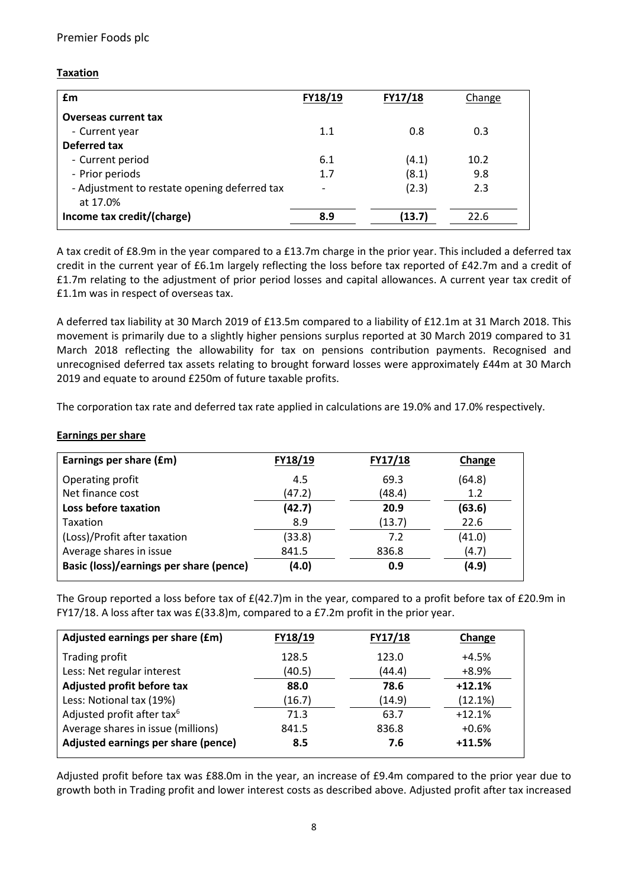## Premier Foods plc

| £m                                           | FY18/19                  | FY17/18 | Change |
|----------------------------------------------|--------------------------|---------|--------|
| <b>Overseas current tax</b>                  |                          |         |        |
| - Current year                               | 1.1                      | 0.8     | 0.3    |
| <b>Deferred tax</b>                          |                          |         |        |
| - Current period                             | 6.1                      | (4.1)   | 10.2   |
| - Prior periods                              | 1.7                      | (8.1)   | 9.8    |
| - Adjustment to restate opening deferred tax | $\overline{\phantom{a}}$ | (2.3)   | 2.3    |
| at 17.0%                                     |                          |         |        |
| Income tax credit/(charge)                   | 8.9                      | (13.7)  | 22.6   |

## **Taxation**

A tax credit of £8.9m in the year compared to a £13.7m charge in the prior year. This included a deferred tax credit in the current year of £6.1m largely reflecting the loss before tax reported of £42.7m and a credit of £1.7m relating to the adjustment of prior period losses and capital allowances. A current year tax credit of £1.1m was in respect of overseas tax.

A deferred tax liability at 30 March 2019 of £13.5m compared to a liability of £12.1m at 31 March 2018. This movement is primarily due to a slightly higher pensions surplus reported at 30 March 2019 compared to 31 March 2018 reflecting the allowability for tax on pensions contribution payments. Recognised and unrecognised deferred tax assets relating to brought forward losses were approximately £44m at 30 March 2019 and equate to around £250m of future taxable profits.

The corporation tax rate and deferred tax rate applied in calculations are 19.0% and 17.0% respectively.

#### **Earnings per share**

| Earnings per share (£m)                 | FY18/19 | FY17/18 | Change |
|-----------------------------------------|---------|---------|--------|
| Operating profit                        | 4.5     | 69.3    | (64.8) |
| Net finance cost                        | (47.2)  | (48.4)  | 1.2    |
| Loss before taxation                    | (42.7)  | 20.9    | (63.6) |
| <b>Taxation</b>                         | 8.9     | (13.7)  | 22.6   |
| (Loss)/Profit after taxation            | (33.8)  | 7.2     | (41.0) |
| Average shares in issue                 | 841.5   | 836.8   | (4.7)  |
| Basic (loss)/earnings per share (pence) | (4.0)   | 0.9     | (4.9)  |

The Group reported a loss before tax of  $E(42.7)$ m in the year, compared to a profit before tax of £20.9m in FY17/18. A loss after tax was £(33.8)m, compared to a £7.2m profit in the prior year.

| Adjusted earnings per share (£m)       | FY18/19 | FY17/18 | Change   |
|----------------------------------------|---------|---------|----------|
| Trading profit                         | 128.5   | 123.0   | $+4.5%$  |
| Less: Net regular interest             | (40.5)  | (44.4)  | $+8.9%$  |
| Adjusted profit before tax             | 88.0    | 78.6    | $+12.1%$ |
| Less: Notional tax (19%)               | (16.7)  | (14.9)  | (12.1%)  |
| Adjusted profit after tax <sup>6</sup> | 71.3    | 63.7    | $+12.1%$ |
| Average shares in issue (millions)     | 841.5   | 836.8   | $+0.6%$  |
| Adjusted earnings per share (pence)    | 8.5     | 7.6     | $+11.5%$ |

Adjusted profit before tax was £88.0m in the year, an increase of £9.4m compared to the prior year due to growth both in Trading profit and lower interest costs as described above. Adjusted profit after tax increased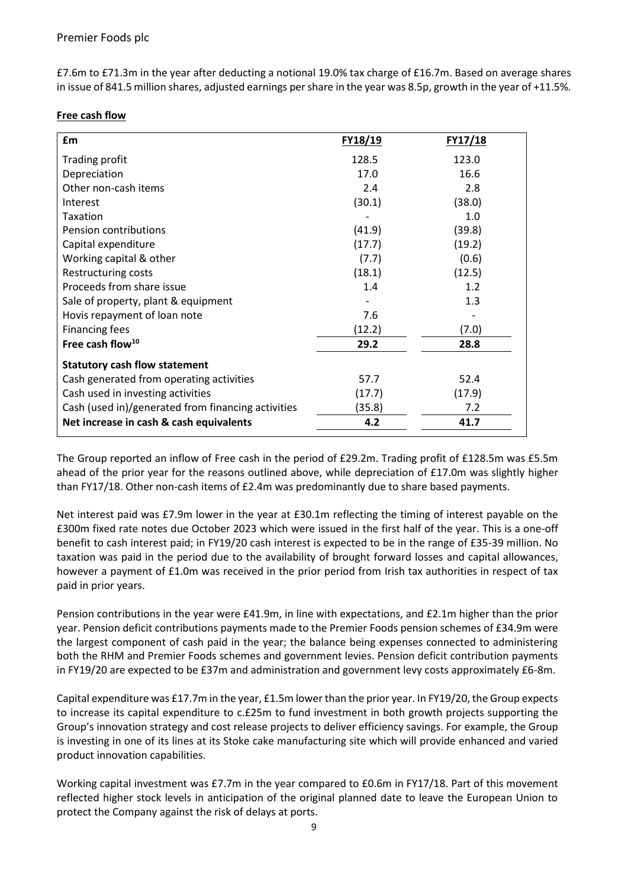£7.6m to £71.3m in the year after deducting a notional 19.0% tax charge of £16.7m. Based on average shares in issue of 841.5 million shares, adjusted earnings per share in the year was 8.5p, growth in the year of +11.5%.

## **Free cash flow**

| £m                                                 | FY18/19 | FY17/18 |
|----------------------------------------------------|---------|---------|
| Trading profit                                     | 128.5   | 123.0   |
| Depreciation                                       | 17.0    | 16.6    |
| Other non-cash items                               | 2.4     | 2.8     |
| Interest                                           | (30.1)  | (38.0)  |
| Taxation                                           |         | 1.0     |
| Pension contributions                              | (41.9)  | (39.8)  |
| Capital expenditure                                | (17.7)  | (19.2)  |
| Working capital & other                            | (7.7)   | (0.6)   |
| Restructuring costs                                | (18.1)  | (12.5)  |
| Proceeds from share issue                          | 1.4     | 1.2     |
| Sale of property, plant & equipment                |         | 1.3     |
| Hovis repayment of loan note                       | 7.6     |         |
| <b>Financing fees</b>                              | (12.2)  | (7.0)   |
| Free cash flow <sup>10</sup>                       | 29.2    | 28.8    |
| <b>Statutory cash flow statement</b>               |         |         |
| Cash generated from operating activities           | 57.7    | 52.4    |
| Cash used in investing activities                  | (17.7)  | (17.9)  |
| Cash (used in)/generated from financing activities | (35.8)  | 7.2     |
| Net increase in cash & cash equivalents            | 4.2     | 41.7    |

The Group reported an inflow of Free cash in the period of £29.2m. Trading profit of £128.5m was £5.5m ahead of the prior year for the reasons outlined above, while depreciation of £17.0m was slightly higher than FY17/18. Other non-cash items of £2.4m was predominantly due to share based payments.

Net interest paid was £7.9m lower in the year at £30.1m reflecting the timing of interest payable on the £300m fixed rate notes due October 2023 which were issued in the first half of the year. This is a one-off benefit to cash interest paid; in FY19/20 cash interest is expected to be in the range of £35-39 million. No taxation was paid in the period due to the availability of brought forward losses and capital allowances, however a payment of £1.0m was received in the prior period from Irish tax authorities in respect of tax paid in prior years.

Pension contributions in the year were £41.9m, in line with expectations, and £2.1m higher than the prior year. Pension deficit contributions payments made to the Premier Foods pension schemes of £34.9m were the largest component of cash paid in the year; the balance being expenses connected to administering both the RHM and Premier Foods schemes and government levies. Pension deficit contribution payments in FY19/20 are expected to be £37m and administration and government levy costs approximately £6-8m.

Capital expenditure was £17.7m in the year, £1.5m lower than the prior year. In FY19/20, the Group expects to increase its capital expenditure to c.£25m to fund investment in both growth projects supporting the Group's innovation strategy and cost release projects to deliver efficiency savings. For example, the Group is investing in one of its lines at its Stoke cake manufacturing site which will provide enhanced and varied product innovation capabilities.

Working capital investment was £7.7m in the year compared to £0.6m in FY17/18. Part of this movement reflected higher stock levels in anticipation of the original planned date to leave the European Union to protect the Company against the risk of delays at ports.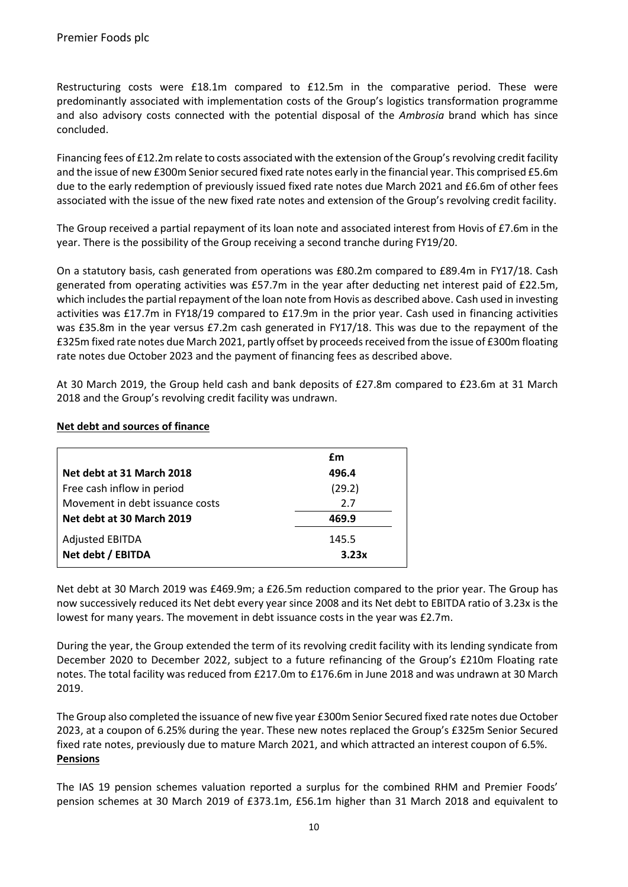Restructuring costs were £18.1m compared to £12.5m in the comparative period. These were predominantly associated with implementation costs of the Group's logistics transformation programme and also advisory costs connected with the potential disposal of the *Ambrosia* brand which has since concluded.

Financing fees of £12.2m relate to costs associated with the extension of the Group's revolving credit facility and the issue of new £300m Senior secured fixed rate notes early in the financial year. This comprised £5.6m due to the early redemption of previously issued fixed rate notes due March 2021 and £6.6m of other fees associated with the issue of the new fixed rate notes and extension of the Group's revolving credit facility.

The Group received a partial repayment of its loan note and associated interest from Hovis of £7.6m in the year. There is the possibility of the Group receiving a second tranche during FY19/20.

On a statutory basis, cash generated from operations was £80.2m compared to £89.4m in FY17/18. Cash generated from operating activities was £57.7m in the year after deducting net interest paid of £22.5m, which includes the partial repayment of the loan note from Hovis as described above. Cash used in investing activities was £17.7m in FY18/19 compared to £17.9m in the prior year. Cash used in financing activities was £35.8m in the year versus £7.2m cash generated in FY17/18. This was due to the repayment of the £325m fixed rate notes due March 2021, partly offset by proceeds received from the issue of £300m floating rate notes due October 2023 and the payment of financing fees as described above.

At 30 March 2019, the Group held cash and bank deposits of £27.8m compared to £23.6m at 31 March 2018 and the Group's revolving credit facility was undrawn.

## **Net debt and sources of finance**

|                                 | £m     |
|---------------------------------|--------|
| Net debt at 31 March 2018       | 496.4  |
| Free cash inflow in period      | (29.2) |
| Movement in debt issuance costs | 2.7    |
| Net debt at 30 March 2019       | 469.9  |
| <b>Adjusted EBITDA</b>          | 145.5  |
| Net debt / EBITDA               | 3.23x  |

Net debt at 30 March 2019 was £469.9m; a £26.5m reduction compared to the prior year. The Group has now successively reduced its Net debt every year since 2008 and its Net debt to EBITDA ratio of 3.23x is the lowest for many years. The movement in debt issuance costs in the year was £2.7m.

During the year, the Group extended the term of its revolving credit facility with its lending syndicate from December 2020 to December 2022, subject to a future refinancing of the Group's £210m Floating rate notes. The total facility was reduced from £217.0m to £176.6m in June 2018 and was undrawn at 30 March 2019.

The Group also completed the issuance of new five year £300m Senior Secured fixed rate notes due October 2023, at a coupon of 6.25% during the year. These new notes replaced the Group's £325m Senior Secured fixed rate notes, previously due to mature March 2021, and which attracted an interest coupon of 6.5%. **Pensions**

The IAS 19 pension schemes valuation reported a surplus for the combined RHM and Premier Foods' pension schemes at 30 March 2019 of £373.1m, £56.1m higher than 31 March 2018 and equivalent to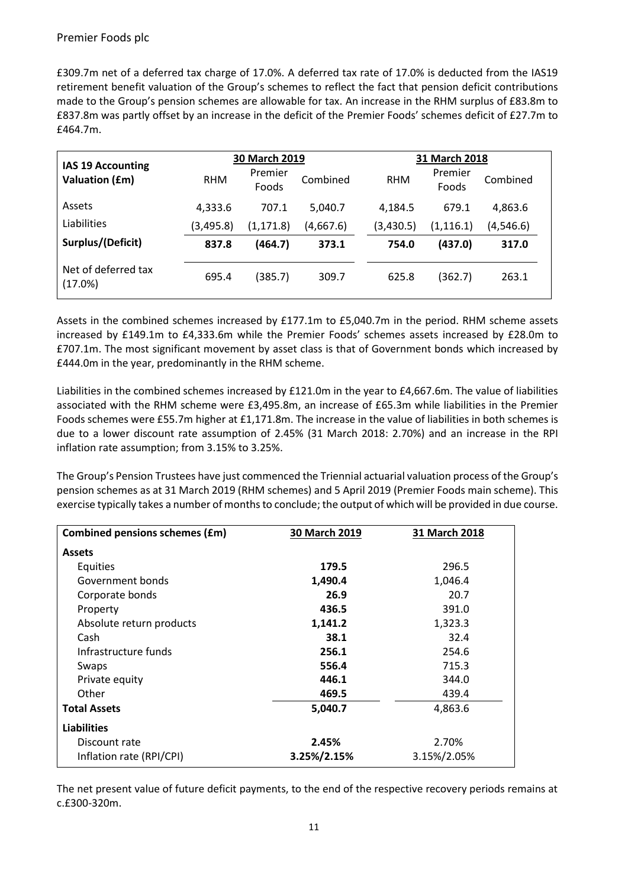## Premier Foods plc

£309.7m net of a deferred tax charge of 17.0%. A deferred tax rate of 17.0% is deducted from the IAS19 retirement benefit valuation of the Group's schemes to reflect the fact that pension deficit contributions made to the Group's pension schemes are allowable for tax. An increase in the RHM surplus of £83.8m to £837.8m was partly offset by an increase in the deficit of the Premier Foods' schemes deficit of £27.7m to £464.7m.

| <b>IAS 19 Accounting</b>       | 30 March 2019 |                  |           |            | 31 March 2018    |           |
|--------------------------------|---------------|------------------|-----------|------------|------------------|-----------|
| <b>Valuation (£m)</b>          | <b>RHM</b>    | Premier<br>Foods | Combined  | <b>RHM</b> | Premier<br>Foods | Combined  |
| Assets                         | 4,333.6       | 707.1            | 5,040.7   | 4,184.5    | 679.1            | 4,863.6   |
| Liabilities                    | (3, 495.8)    | (1, 171.8)       | (4,667.6) | (3,430.5)  | (1, 116.1)       | (4,546.6) |
| Surplus/(Deficit)              | 837.8         | (464.7)          | 373.1     | 754.0      | (437.0)          | 317.0     |
| Net of deferred tax<br>(17.0%) | 695.4         | (385.7)          | 309.7     | 625.8      | (362.7)          | 263.1     |

Assets in the combined schemes increased by £177.1m to £5,040.7m in the period. RHM scheme assets increased by £149.1m to £4,333.6m while the Premier Foods' schemes assets increased by £28.0m to £707.1m. The most significant movement by asset class is that of Government bonds which increased by £444.0m in the year, predominantly in the RHM scheme.

Liabilities in the combined schemes increased by £121.0m in the year to £4,667.6m. The value of liabilities associated with the RHM scheme were £3,495.8m, an increase of £65.3m while liabilities in the Premier Foods schemes were £55.7m higher at £1,171.8m. The increase in the value of liabilities in both schemes is due to a lower discount rate assumption of 2.45% (31 March 2018: 2.70%) and an increase in the RPI inflation rate assumption; from 3.15% to 3.25%.

The Group's Pension Trustees have just commenced the Triennial actuarial valuation process of the Group's pension schemes as at 31 March 2019 (RHM schemes) and 5 April 2019 (Premier Foods main scheme). This exercise typically takes a number of months to conclude; the output of which will be provided in due course.

| <b>Combined pensions schemes (£m)</b> | 30 March 2019 | 31 March 2018 |
|---------------------------------------|---------------|---------------|
| <b>Assets</b>                         |               |               |
| Equities                              | 179.5         | 296.5         |
| Government bonds                      | 1,490.4       | 1,046.4       |
| Corporate bonds                       | 26.9          | 20.7          |
| Property                              | 436.5         | 391.0         |
| Absolute return products              | 1,141.2       | 1,323.3       |
| Cash                                  | 38.1          | 32.4          |
| Infrastructure funds                  | 256.1         | 254.6         |
| Swaps                                 | 556.4         | 715.3         |
| Private equity                        | 446.1         | 344.0         |
| Other                                 | 469.5         | 439.4         |
| <b>Total Assets</b>                   | 5,040.7       | 4,863.6       |
| <b>Liabilities</b>                    |               |               |
| Discount rate                         | 2.45%         | 2.70%         |
| Inflation rate (RPI/CPI)              | 3.25%/2.15%   | 3.15%/2.05%   |

The net present value of future deficit payments, to the end of the respective recovery periods remains at c.£300-320m.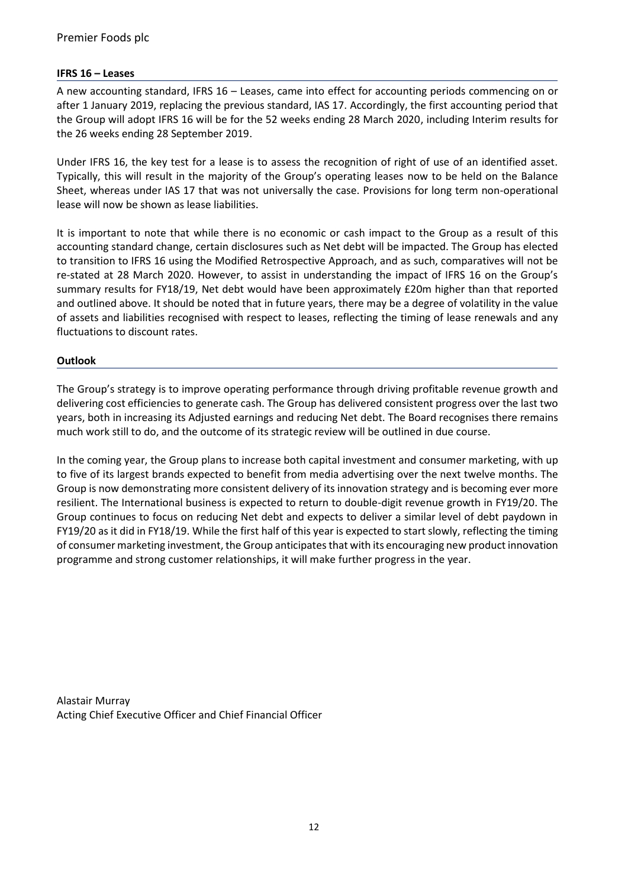#### **IFRS 16 – Leases**

A new accounting standard, IFRS 16 – Leases, came into effect for accounting periods commencing on or after 1 January 2019, replacing the previous standard, IAS 17. Accordingly, the first accounting period that the Group will adopt IFRS 16 will be for the 52 weeks ending 28 March 2020, including Interim results for the 26 weeks ending 28 September 2019.

Under IFRS 16, the key test for a lease is to assess the recognition of right of use of an identified asset. Typically, this will result in the majority of the Group's operating leases now to be held on the Balance Sheet, whereas under IAS 17 that was not universally the case. Provisions for long term non-operational lease will now be shown as lease liabilities.

It is important to note that while there is no economic or cash impact to the Group as a result of this accounting standard change, certain disclosures such as Net debt will be impacted. The Group has elected to transition to IFRS 16 using the Modified Retrospective Approach, and as such, comparatives will not be re-stated at 28 March 2020. However, to assist in understanding the impact of IFRS 16 on the Group's summary results for FY18/19, Net debt would have been approximately £20m higher than that reported and outlined above. It should be noted that in future years, there may be a degree of volatility in the value of assets and liabilities recognised with respect to leases, reflecting the timing of lease renewals and any fluctuations to discount rates.

#### **Outlook**

The Group's strategy is to improve operating performance through driving profitable revenue growth and delivering cost efficiencies to generate cash. The Group has delivered consistent progress over the last two years, both in increasing its Adjusted earnings and reducing Net debt. The Board recognises there remains much work still to do, and the outcome of its strategic review will be outlined in due course.

In the coming year, the Group plans to increase both capital investment and consumer marketing, with up to five of its largest brands expected to benefit from media advertising over the next twelve months. The Group is now demonstrating more consistent delivery of its innovation strategy and is becoming ever more resilient. The International business is expected to return to double-digit revenue growth in FY19/20. The Group continues to focus on reducing Net debt and expects to deliver a similar level of debt paydown in FY19/20 as it did in FY18/19. While the first half of this year is expected to start slowly, reflecting the timing of consumer marketing investment, the Group anticipatesthat with its encouraging new product innovation programme and strong customer relationships, it will make further progress in the year.

Alastair Murray Acting Chief Executive Officer and Chief Financial Officer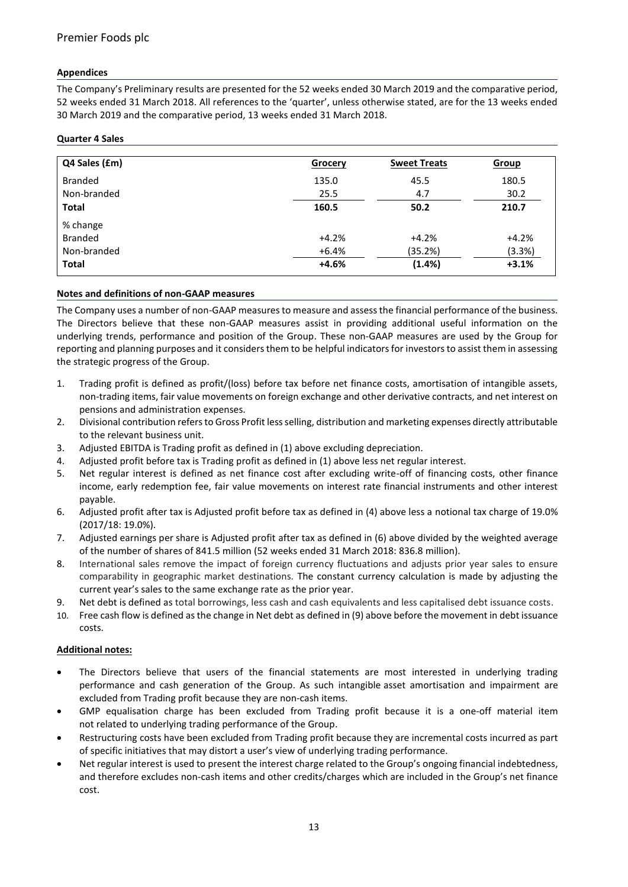#### **Appendices**

The Company's Preliminary results are presented for the 52 weeks ended 30 March 2019 and the comparative period, 52 weeks ended 31 March 2018. All references to the 'quarter', unless otherwise stated, are for the 13 weeks ended 30 March 2019 and the comparative period, 13 weeks ended 31 March 2018.

#### **Quarter 4 Sales**

| Q4 Sales (£m)  | Grocery | <b>Sweet Treats</b> | Group   |
|----------------|---------|---------------------|---------|
| <b>Branded</b> | 135.0   | 45.5                | 180.5   |
| Non-branded    | 25.5    | 4.7                 | 30.2    |
| <b>Total</b>   | 160.5   | 50.2                | 210.7   |
| % change       |         |                     |         |
| <b>Branded</b> | $+4.2%$ | $+4.2%$             | $+4.2%$ |
| Non-branded    | $+6.4%$ | (35.2%)             | (3.3%)  |
| <b>Total</b>   | $+4.6%$ | (1.4%)              | $+3.1%$ |

#### **Notes and definitions of non-GAAP measures**

The Company uses a number of non-GAAP measures to measure and assess the financial performance of the business. The Directors believe that these non-GAAP measures assist in providing additional useful information on the underlying trends, performance and position of the Group. These non-GAAP measures are used by the Group for reporting and planning purposes and it considers them to be helpful indicators for investors to assist them in assessing the strategic progress of the Group.

- 1. Trading profit is defined as profit/(loss) before tax before net finance costs, amortisation of intangible assets, non-trading items, fair value movements on foreign exchange and other derivative contracts, and net interest on pensions and administration expenses.
- 2. Divisional contribution refers to Gross Profit less selling, distribution and marketing expenses directly attributable to the relevant business unit.
- 3. Adjusted EBITDA is Trading profit as defined in (1) above excluding depreciation.
- 4. Adjusted profit before tax is Trading profit as defined in (1) above less net regular interest.
- 5. Net regular interest is defined as net finance cost after excluding write-off of financing costs, other finance income, early redemption fee, fair value movements on interest rate financial instruments and other interest payable.
- 6. Adjusted profit after tax is Adjusted profit before tax as defined in (4) above less a notional tax charge of 19.0% (2017/18: 19.0%).
- 7. Adjusted earnings per share is Adjusted profit after tax as defined in (6) above divided by the weighted average of the number of shares of 841.5 million (52 weeks ended 31 March 2018: 836.8 million).
- 8. International sales remove the impact of foreign currency fluctuations and adjusts prior year sales to ensure comparability in geographic market destinations. The constant currency calculation is made by adjusting the current year's sales to the same exchange rate as the prior year.
- 9. Net debt is defined as total borrowings, less cash and cash equivalents and less capitalised debt issuance costs.
- 10. Free cash flow is defined as the change in Net debt as defined in (9) above before the movement in debt issuance costs.

#### **Additional notes:**

- The Directors believe that users of the financial statements are most interested in underlying trading performance and cash generation of the Group. As such intangible asset amortisation and impairment are excluded from Trading profit because they are non-cash items.
- GMP equalisation charge has been excluded from Trading profit because it is a one-off material item not related to underlying trading performance of the Group.
- Restructuring costs have been excluded from Trading profit because they are incremental costs incurred as part of specific initiatives that may distort a user's view of underlying trading performance.
- Net regular interest is used to present the interest charge related to the Group's ongoing financial indebtedness, and therefore excludes non-cash items and other credits/charges which are included in the Group's net finance cost.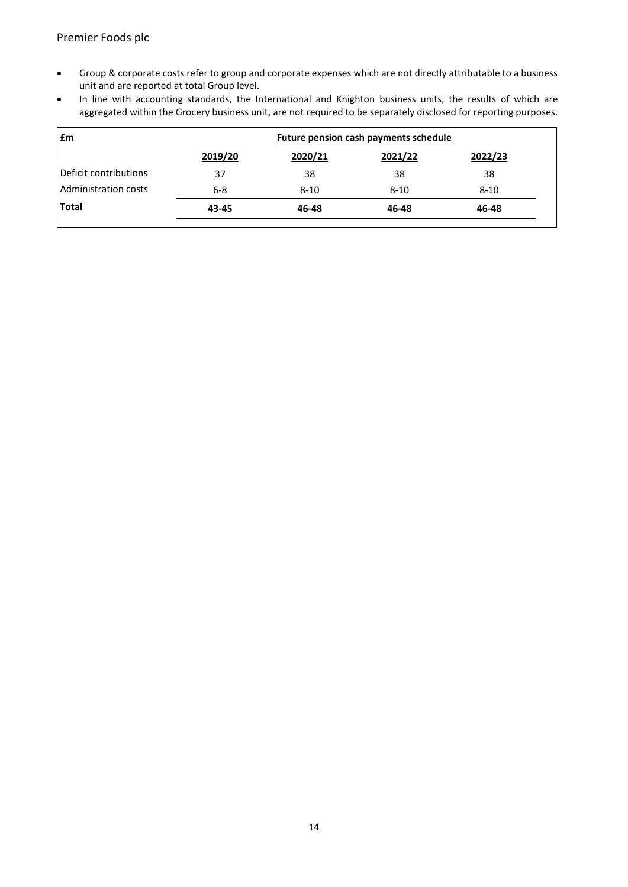- Group & corporate costs refer to group and corporate expenses which are not directly attributable to a business unit and are reported at total Group level.
- In line with accounting standards, the International and Knighton business units, the results of which are aggregated within the Grocery business unit, are not required to be separately disclosed for reporting purposes.

| 2019/20 | 2020/21  | 2021/22  | 2022/23                               |
|---------|----------|----------|---------------------------------------|
| 37      | 38       | 38       | 38                                    |
| $6 - 8$ | $8 - 10$ | $8 - 10$ | $8 - 10$                              |
| 43-45   | 46-48    | 46-48    | 46-48                                 |
|         |          |          | Future pension cash payments schedule |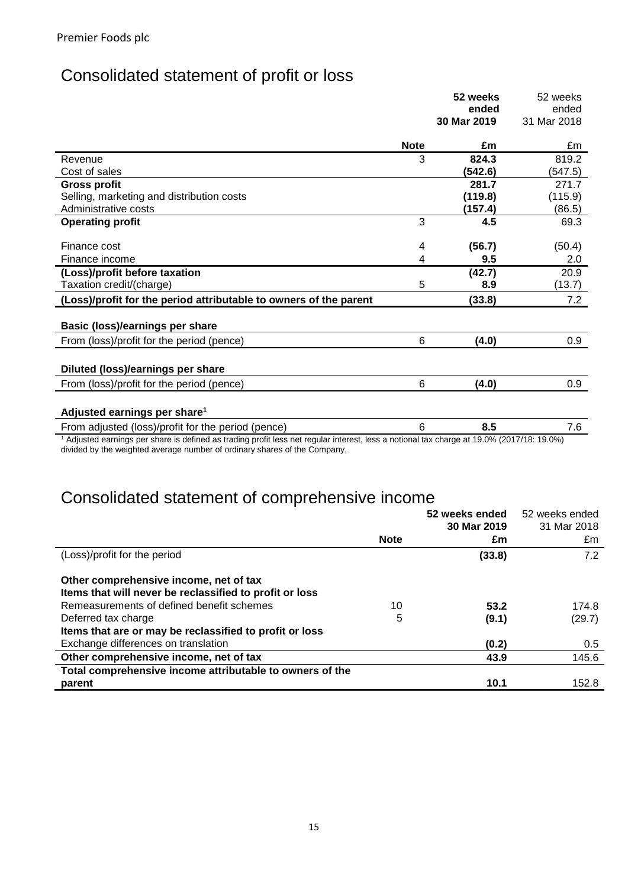## Consolidated statement of profit or loss

|                                                                                                                                                                                                                       |             | 52 weeks             | 52 weeks             |
|-----------------------------------------------------------------------------------------------------------------------------------------------------------------------------------------------------------------------|-------------|----------------------|----------------------|
|                                                                                                                                                                                                                       |             | ended<br>30 Mar 2019 | ended<br>31 Mar 2018 |
|                                                                                                                                                                                                                       |             |                      |                      |
|                                                                                                                                                                                                                       | <b>Note</b> | £m                   | £m                   |
| Revenue                                                                                                                                                                                                               | 3           | 824.3                | 819.2                |
| Cost of sales                                                                                                                                                                                                         |             | (542.6)              | (547.5)              |
| Gross profit                                                                                                                                                                                                          |             | 281.7                | 271.7                |
| Selling, marketing and distribution costs                                                                                                                                                                             |             | (119.8)              | (115.9)              |
| Administrative costs                                                                                                                                                                                                  |             | (157.4)              | (86.5)               |
| <b>Operating profit</b>                                                                                                                                                                                               | 3           | 4.5                  | 69.3                 |
|                                                                                                                                                                                                                       |             |                      |                      |
| Finance cost                                                                                                                                                                                                          | 4           | (56.7)               | (50.4)               |
| Finance income                                                                                                                                                                                                        | 4           | 9.5                  | 2.0                  |
| (Loss)/profit before taxation                                                                                                                                                                                         |             | (42.7)               | 20.9                 |
| Taxation credit/(charge)                                                                                                                                                                                              | 5           | 8.9                  | (13.7)               |
| (Loss)/profit for the period attributable to owners of the parent                                                                                                                                                     |             | (33.8)               | 7.2                  |
| Basic (loss)/earnings per share                                                                                                                                                                                       |             |                      |                      |
| From (loss)/profit for the period (pence)                                                                                                                                                                             | 6           | (4.0)                | 0.9                  |
|                                                                                                                                                                                                                       |             |                      |                      |
| Diluted (loss)/earnings per share                                                                                                                                                                                     |             |                      |                      |
| From (loss)/profit for the period (pence)                                                                                                                                                                             | 6           | (4.0)                | 0.9                  |
|                                                                                                                                                                                                                       |             |                      |                      |
| Adjusted earnings per share <sup>1</sup>                                                                                                                                                                              |             |                      |                      |
| From adjusted (loss)/profit for the period (pence)                                                                                                                                                                    | 6           | 8.5                  | 7.6                  |
| Adjusted earnings per share is defined as trading profit less net regular interest, less a notional tax charge at 19.0% (2017/18: 19.0%)<br>divided by the weighted average number of ordinary shares of the Company. |             |                      |                      |

## Consolidated statement of comprehensive income

|                                                          |             | 52 weeks ended | 52 weeks ended |
|----------------------------------------------------------|-------------|----------------|----------------|
|                                                          |             | 30 Mar 2019    | 31 Mar 2018    |
|                                                          | <b>Note</b> | £m             | £m             |
| (Loss)/profit for the period                             |             | (33.8)         | 7.2            |
| Other comprehensive income, net of tax                   |             |                |                |
| Items that will never be reclassified to profit or loss  |             |                |                |
| Remeasurements of defined benefit schemes                | 10          | 53.2           | 174.8          |
| Deferred tax charge                                      | 5           | (9.1)          | (29.7)         |
| Items that are or may be reclassified to profit or loss  |             |                |                |
| Exchange differences on translation                      |             | (0.2)          | 0.5            |
| Other comprehensive income, net of tax                   |             | 43.9           | 145.6          |
| Total comprehensive income attributable to owners of the |             |                |                |
| parent                                                   |             | 10.1           | 152.8          |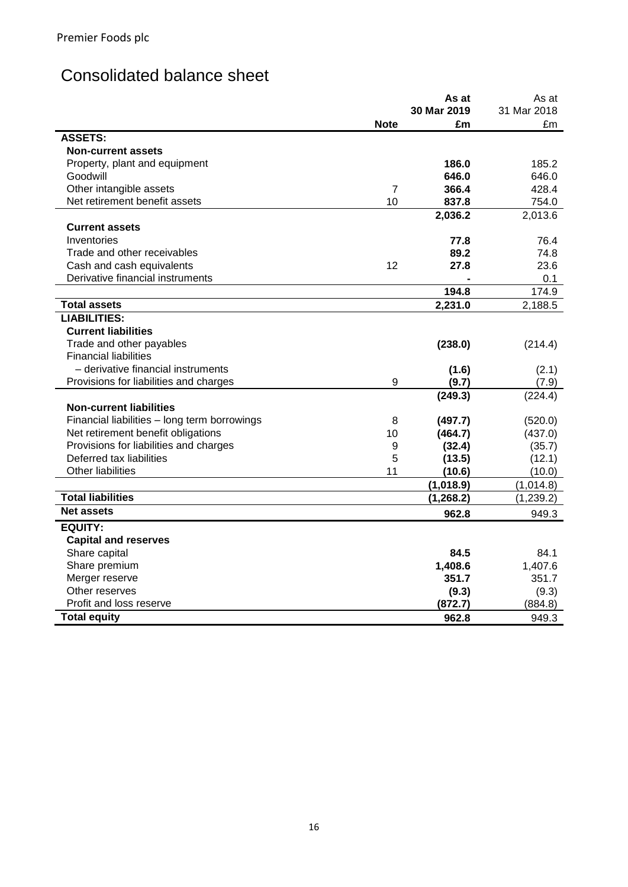## Consolidated balance sheet

|                                              |                  | As at       | As at       |
|----------------------------------------------|------------------|-------------|-------------|
|                                              |                  | 30 Mar 2019 | 31 Mar 2018 |
|                                              | <b>Note</b>      | £m          | £m          |
| <b>ASSETS:</b>                               |                  |             |             |
| <b>Non-current assets</b>                    |                  |             |             |
| Property, plant and equipment                |                  | 186.0       | 185.2       |
| Goodwill                                     |                  | 646.0       | 646.0       |
| Other intangible assets                      | 7                | 366.4       | 428.4       |
| Net retirement benefit assets                | 10               | 837.8       | 754.0       |
|                                              |                  | 2,036.2     | 2,013.6     |
| <b>Current assets</b>                        |                  |             |             |
| Inventories                                  |                  | 77.8        | 76.4        |
| Trade and other receivables                  |                  | 89.2        | 74.8        |
| Cash and cash equivalents                    | 12               | 27.8        | 23.6        |
| Derivative financial instruments             |                  |             | 0.1         |
|                                              |                  | 194.8       | 174.9       |
| <b>Total assets</b>                          |                  | 2,231.0     | 2,188.5     |
| <b>LIABILITIES:</b>                          |                  |             |             |
| <b>Current liabilities</b>                   |                  |             |             |
| Trade and other payables                     |                  | (238.0)     | (214.4)     |
| <b>Financial liabilities</b>                 |                  |             |             |
| - derivative financial instruments           |                  | (1.6)       | (2.1)       |
| Provisions for liabilities and charges       | $\boldsymbol{9}$ | (9.7)       | (7.9)       |
|                                              |                  | (249.3)     | (224.4)     |
| <b>Non-current liabilities</b>               |                  |             |             |
| Financial liabilities - long term borrowings | 8                | (497.7)     | (520.0)     |
| Net retirement benefit obligations           | 10               | (464.7)     | (437.0)     |
| Provisions for liabilities and charges       | 9                | (32.4)      | (35.7)      |
| Deferred tax liabilities                     | 5                | (13.5)      | (12.1)      |
| <b>Other liabilities</b>                     | 11               | (10.6)      | (10.0)      |
|                                              |                  | (1,018.9)   | (1,014.8)   |
| <b>Total liabilities</b>                     |                  | (1, 268.2)  | (1, 239.2)  |
| <b>Net assets</b>                            |                  | 962.8       | 949.3       |
| <b>EQUITY:</b>                               |                  |             |             |
| <b>Capital and reserves</b>                  |                  |             |             |
| Share capital                                |                  | 84.5        | 84.1        |
| Share premium                                |                  | 1,408.6     | 1,407.6     |
| Merger reserve                               |                  | 351.7       | 351.7       |
| Other reserves                               |                  | (9.3)       | (9.3)       |
| Profit and loss reserve                      |                  | (872.7)     | (884.8)     |
| <b>Total equity</b>                          |                  | 962.8       | 949.3       |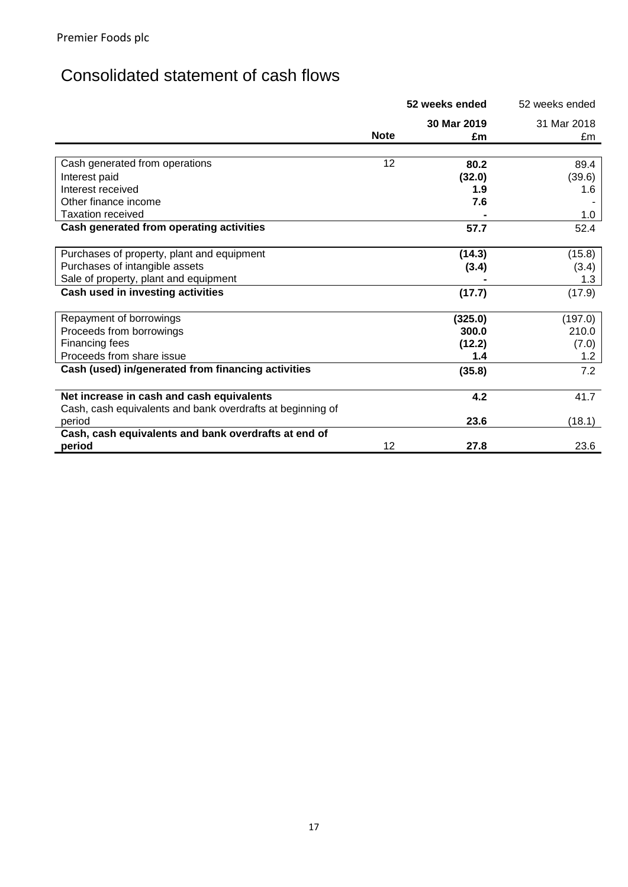## Consolidated statement of cash flows

|                                                            | 52 weeks ended |             | 52 weeks ended |
|------------------------------------------------------------|----------------|-------------|----------------|
|                                                            |                | 30 Mar 2019 | 31 Mar 2018    |
|                                                            | <b>Note</b>    | £m          | £m             |
|                                                            |                |             |                |
| Cash generated from operations                             | 12             | 80.2        | 89.4           |
| Interest paid                                              |                | (32.0)      | (39.6)         |
| Interest received                                          |                | 1.9         | 1.6            |
| Other finance income                                       |                | 7.6         |                |
| <b>Taxation received</b>                                   |                |             | 1.0            |
| Cash generated from operating activities                   |                | 57.7        | 52.4           |
|                                                            |                |             |                |
| Purchases of property, plant and equipment                 |                | (14.3)      | (15.8)         |
| Purchases of intangible assets                             |                | (3.4)       | (3.4)          |
| Sale of property, plant and equipment                      |                |             | 1.3            |
| Cash used in investing activities                          |                | (17.7)      | (17.9)         |
|                                                            |                |             |                |
| Repayment of borrowings                                    |                | (325.0)     | (197.0)        |
| Proceeds from borrowings                                   |                | 300.0       | 210.0          |
| <b>Financing fees</b>                                      |                | (12.2)      | (7.0)          |
| Proceeds from share issue                                  |                | 1.4         | 1.2            |
| Cash (used) in/generated from financing activities         |                | (35.8)      | 7.2            |
|                                                            |                |             |                |
| Net increase in cash and cash equivalents                  |                | 4.2         | 41.7           |
| Cash, cash equivalents and bank overdrafts at beginning of |                |             |                |
| period                                                     |                | 23.6        | (18.1)         |
| Cash, cash equivalents and bank overdrafts at end of       |                |             |                |
| period                                                     | 12             | 27.8        | 23.6           |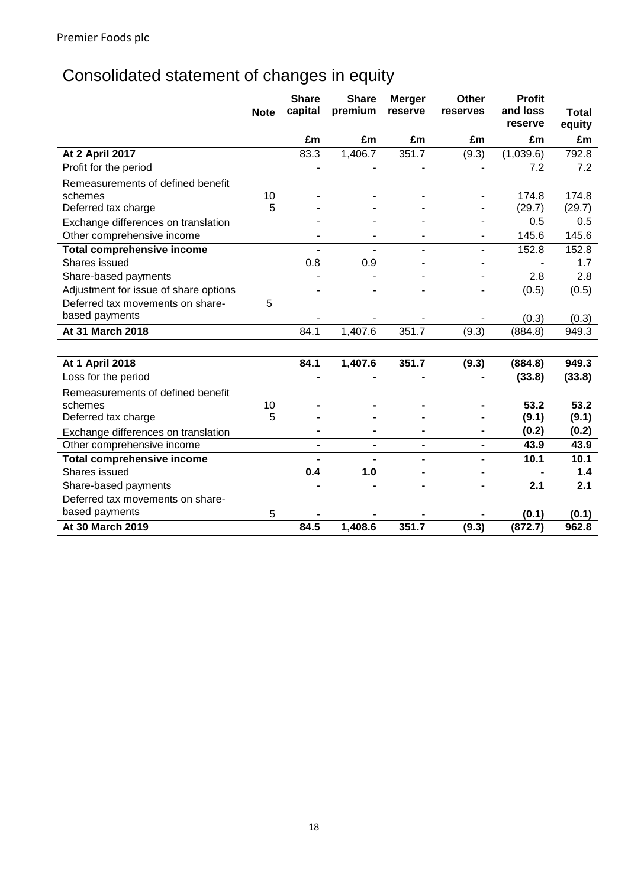# Consolidated statement of changes in equity

|                                              | <b>Note</b> | <b>Share</b><br>capital | <b>Share</b><br>premium  | <b>Merger</b><br>reserve | <b>Other</b><br>reserves | <b>Profit</b><br>and loss | <b>Total</b> |
|----------------------------------------------|-------------|-------------------------|--------------------------|--------------------------|--------------------------|---------------------------|--------------|
|                                              |             |                         |                          |                          |                          | reserve                   | equity       |
|                                              |             | £m                      | £m                       | £m                       | £m                       | £m                        | £m           |
| <b>At 2 April 2017</b>                       |             | 83.3                    | 1,406.7                  | 351.7                    | (9.3)                    | (1,039.6)                 | 792.8        |
| Profit for the period                        |             |                         |                          |                          |                          | 7.2                       | 7.2          |
| Remeasurements of defined benefit<br>schemes | 10          |                         |                          |                          |                          | 174.8                     | 174.8        |
| Deferred tax charge                          | 5           |                         |                          |                          |                          | (29.7)                    | (29.7)       |
| Exchange differences on translation          |             |                         |                          |                          |                          | 0.5                       | 0.5          |
| Other comprehensive income                   |             | $\blacksquare$          | $\overline{\phantom{a}}$ | $\overline{\phantom{a}}$ | $\overline{\phantom{m}}$ | 145.6                     | 145.6        |
| <b>Total comprehensive income</b>            |             |                         |                          |                          | ÷.                       | 152.8                     | 152.8        |
| Shares issued                                |             | 0.8                     | 0.9                      |                          |                          |                           | 1.7          |
| Share-based payments                         |             |                         |                          |                          |                          | 2.8                       | 2.8          |
| Adjustment for issue of share options        |             |                         |                          |                          |                          | (0.5)                     | (0.5)        |
| Deferred tax movements on share-             | 5           |                         |                          |                          |                          |                           |              |
| based payments                               |             |                         |                          |                          |                          | (0.3)                     | (0.3)        |
| At 31 March 2018                             |             | 84.1                    | 1,407.6                  | 351.7                    | (9.3)                    | (884.8)                   | 949.3        |
|                                              |             |                         |                          |                          |                          |                           |              |
| At 1 April 2018                              |             | 84.1                    | 1,407.6                  | 351.7                    | (9.3)                    | (884.8)                   | 949.3        |
| Loss for the period                          |             |                         |                          |                          |                          | (33.8)                    | (33.8)       |
| Remeasurements of defined benefit            |             |                         |                          |                          |                          |                           |              |
| schemes                                      | 10          |                         |                          |                          |                          | 53.2                      | 53.2         |
| Deferred tax charge                          | 5           |                         |                          |                          |                          | (9.1)                     | (9.1)        |
| Exchange differences on translation          |             |                         |                          |                          |                          | (0.2)                     | (0.2)        |
| Other comprehensive income                   |             |                         |                          |                          |                          | 43.9                      | 43.9         |
| <b>Total comprehensive income</b>            |             | $\blacksquare$          |                          |                          | $\blacksquare$           | 10.1                      | 10.1         |
| Shares issued                                |             | 0.4                     | 1.0                      |                          |                          |                           | 1.4          |
| Share-based payments                         |             |                         |                          |                          |                          | 2.1                       | 2.1          |
| Deferred tax movements on share-             |             |                         |                          |                          |                          |                           |              |
| based payments                               | 5           |                         |                          |                          |                          | (0.1)                     | (0.1)        |
| <b>At 30 March 2019</b>                      |             | 84.5                    | 1,408.6                  | 351.7                    | (9.3)                    | (872.7)                   | 962.8        |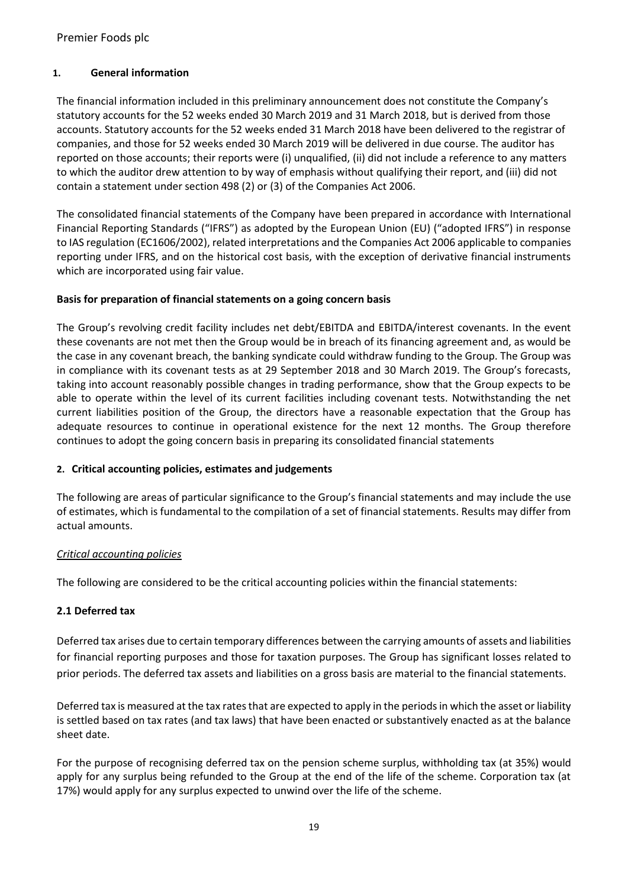## **1. General information**

The financial information included in this preliminary announcement does not constitute the Company's statutory accounts for the 52 weeks ended 30 March 2019 and 31 March 2018, but is derived from those accounts. Statutory accounts for the 52 weeks ended 31 March 2018 have been delivered to the registrar of companies, and those for 52 weeks ended 30 March 2019 will be delivered in due course. The auditor has reported on those accounts; their reports were (i) unqualified, (ii) did not include a reference to any matters to which the auditor drew attention to by way of emphasis without qualifying their report, and (iii) did not contain a statement under section 498 (2) or (3) of the Companies Act 2006.

The consolidated financial statements of the Company have been prepared in accordance with International Financial Reporting Standards ("IFRS") as adopted by the European Union (EU) ("adopted IFRS") in response to IAS regulation (EC1606/2002), related interpretations and the Companies Act 2006 applicable to companies reporting under IFRS, and on the historical cost basis, with the exception of derivative financial instruments which are incorporated using fair value.

## **Basis for preparation of financial statements on a going concern basis**

The Group's revolving credit facility includes net debt/EBITDA and EBITDA/interest covenants. In the event these covenants are not met then the Group would be in breach of its financing agreement and, as would be the case in any covenant breach, the banking syndicate could withdraw funding to the Group. The Group was in compliance with its covenant tests as at 29 September 2018 and 30 March 2019. The Group's forecasts, taking into account reasonably possible changes in trading performance, show that the Group expects to be able to operate within the level of its current facilities including covenant tests. Notwithstanding the net current liabilities position of the Group, the directors have a reasonable expectation that the Group has adequate resources to continue in operational existence for the next 12 months. The Group therefore continues to adopt the going concern basis in preparing its consolidated financial statements

## **2. Critical accounting policies, estimates and judgements**

The following are areas of particular significance to the Group's financial statements and may include the use of estimates, which is fundamental to the compilation of a set of financial statements. Results may differ from actual amounts.

## *Critical accounting policies*

The following are considered to be the critical accounting policies within the financial statements:

## **2.1 Deferred tax**

Deferred tax arises due to certain temporary differences between the carrying amounts of assets and liabilities for financial reporting purposes and those for taxation purposes. The Group has significant losses related to prior periods. The deferred tax assets and liabilities on a gross basis are material to the financial statements.

Deferred tax is measured at the tax rates that are expected to apply in the periods in which the asset or liability is settled based on tax rates (and tax laws) that have been enacted or substantively enacted as at the balance sheet date.

For the purpose of recognising deferred tax on the pension scheme surplus, withholding tax (at 35%) would apply for any surplus being refunded to the Group at the end of the life of the scheme. Corporation tax (at 17%) would apply for any surplus expected to unwind over the life of the scheme.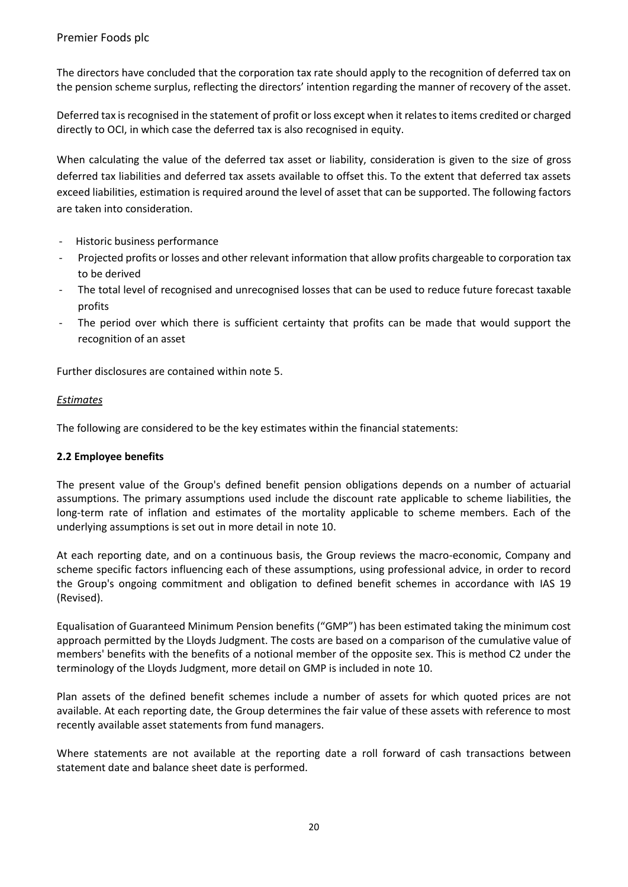The directors have concluded that the corporation tax rate should apply to the recognition of deferred tax on the pension scheme surplus, reflecting the directors' intention regarding the manner of recovery of the asset.

Deferred tax is recognised in the statement of profit or loss except when it relates to items credited or charged directly to OCI, in which case the deferred tax is also recognised in equity.

When calculating the value of the deferred tax asset or liability, consideration is given to the size of gross deferred tax liabilities and deferred tax assets available to offset this. To the extent that deferred tax assets exceed liabilities, estimation is required around the level of asset that can be supported. The following factors are taken into consideration.

- Historic business performance
- Projected profits or losses and other relevant information that allow profits chargeable to corporation tax to be derived
- The total level of recognised and unrecognised losses that can be used to reduce future forecast taxable profits
- The period over which there is sufficient certainty that profits can be made that would support the recognition of an asset

Further disclosures are contained within note 5.

## *Estimates*

The following are considered to be the key estimates within the financial statements:

## **2.2 Employee benefits**

The present value of the Group's defined benefit pension obligations depends on a number of actuarial assumptions. The primary assumptions used include the discount rate applicable to scheme liabilities, the long-term rate of inflation and estimates of the mortality applicable to scheme members. Each of the underlying assumptions is set out in more detail in note 10.

At each reporting date, and on a continuous basis, the Group reviews the macro-economic, Company and scheme specific factors influencing each of these assumptions, using professional advice, in order to record the Group's ongoing commitment and obligation to defined benefit schemes in accordance with IAS 19 (Revised).

Equalisation of Guaranteed Minimum Pension benefits ("GMP") has been estimated taking the minimum cost approach permitted by the Lloyds Judgment. The costs are based on a comparison of the cumulative value of members' benefits with the benefits of a notional member of the opposite sex. This is method C2 under the terminology of the Lloyds Judgment, more detail on GMP is included in note 10.

Plan assets of the defined benefit schemes include a number of assets for which quoted prices are not available. At each reporting date, the Group determines the fair value of these assets with reference to most recently available asset statements from fund managers.

Where statements are not available at the reporting date a roll forward of cash transactions between statement date and balance sheet date is performed.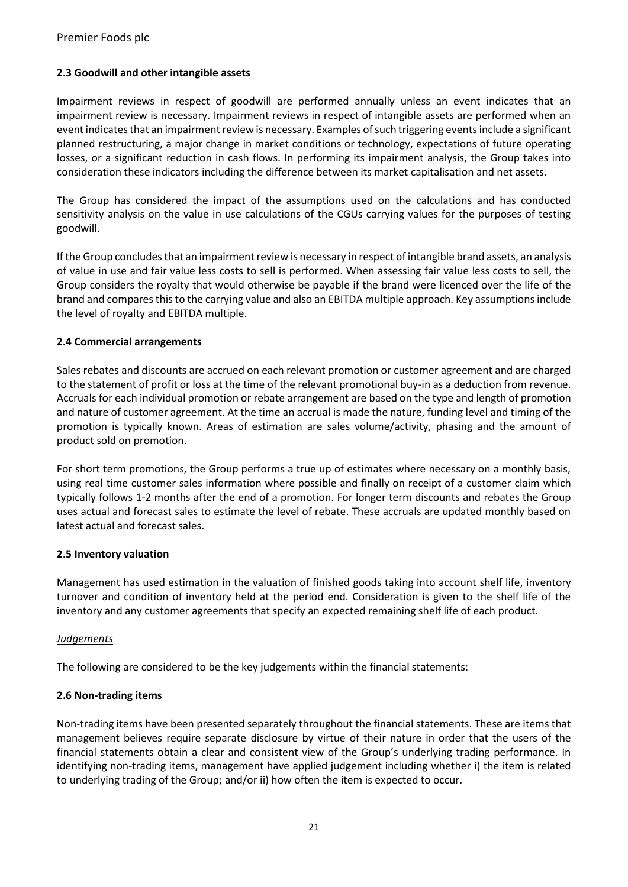## **2.3 Goodwill and other intangible assets**

Impairment reviews in respect of goodwill are performed annually unless an event indicates that an impairment review is necessary. Impairment reviews in respect of intangible assets are performed when an event indicates that an impairment review is necessary. Examples of such triggering events include a significant planned restructuring, a major change in market conditions or technology, expectations of future operating losses, or a significant reduction in cash flows. In performing its impairment analysis, the Group takes into consideration these indicators including the difference between its market capitalisation and net assets.

The Group has considered the impact of the assumptions used on the calculations and has conducted sensitivity analysis on the value in use calculations of the CGUs carrying values for the purposes of testing goodwill.

If the Group concludes that an impairment review is necessary in respect of intangible brand assets, an analysis of value in use and fair value less costs to sell is performed. When assessing fair value less costs to sell, the Group considers the royalty that would otherwise be payable if the brand were licenced over the life of the brand and compares this to the carrying value and also an EBITDA multiple approach. Key assumptions include the level of royalty and EBITDA multiple.

## **2.4 Commercial arrangements**

Sales rebates and discounts are accrued on each relevant promotion or customer agreement and are charged to the statement of profit or loss at the time of the relevant promotional buy-in as a deduction from revenue. Accruals for each individual promotion or rebate arrangement are based on the type and length of promotion and nature of customer agreement. At the time an accrual is made the nature, funding level and timing of the promotion is typically known. Areas of estimation are sales volume/activity, phasing and the amount of product sold on promotion.

For short term promotions, the Group performs a true up of estimates where necessary on a monthly basis, using real time customer sales information where possible and finally on receipt of a customer claim which typically follows 1-2 months after the end of a promotion. For longer term discounts and rebates the Group uses actual and forecast sales to estimate the level of rebate. These accruals are updated monthly based on latest actual and forecast sales.

## **2.5 Inventory valuation**

Management has used estimation in the valuation of finished goods taking into account shelf life, inventory turnover and condition of inventory held at the period end. Consideration is given to the shelf life of the inventory and any customer agreements that specify an expected remaining shelf life of each product.

#### *Judgements*

The following are considered to be the key judgements within the financial statements:

#### **2.6 Non-trading items**

Non-trading items have been presented separately throughout the financial statements. These are items that management believes require separate disclosure by virtue of their nature in order that the users of the financial statements obtain a clear and consistent view of the Group's underlying trading performance. In identifying non-trading items, management have applied judgement including whether i) the item is related to underlying trading of the Group; and/or ii) how often the item is expected to occur.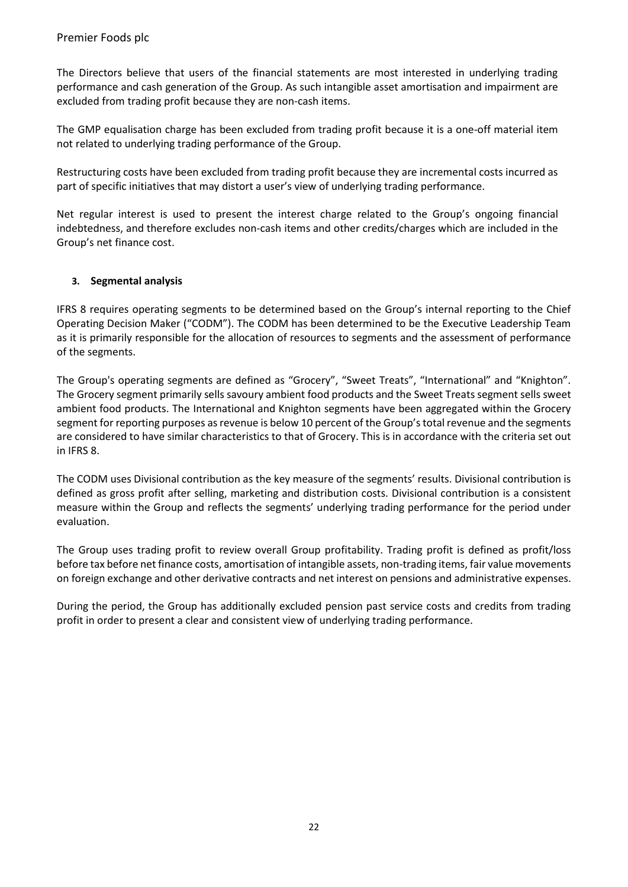The Directors believe that users of the financial statements are most interested in underlying trading performance and cash generation of the Group. As such intangible asset amortisation and impairment are excluded from trading profit because they are non-cash items.

The GMP equalisation charge has been excluded from trading profit because it is a one-off material item not related to underlying trading performance of the Group.

Restructuring costs have been excluded from trading profit because they are incremental costs incurred as part of specific initiatives that may distort a user's view of underlying trading performance.

Net regular interest is used to present the interest charge related to the Group's ongoing financial indebtedness, and therefore excludes non-cash items and other credits/charges which are included in the Group's net finance cost.

## **3. Segmental analysis**

IFRS 8 requires operating segments to be determined based on the Group's internal reporting to the Chief Operating Decision Maker ("CODM"). The CODM has been determined to be the Executive Leadership Team as it is primarily responsible for the allocation of resources to segments and the assessment of performance of the segments.

The Group's operating segments are defined as "Grocery", "Sweet Treats", "International" and "Knighton". The Grocery segment primarily sells savoury ambient food products and the Sweet Treats segment sells sweet ambient food products. The International and Knighton segments have been aggregated within the Grocery segment for reporting purposes as revenue is below 10 percent of the Group's total revenue and the segments are considered to have similar characteristics to that of Grocery. This is in accordance with the criteria set out in IFRS 8.

The CODM uses Divisional contribution as the key measure of the segments' results. Divisional contribution is defined as gross profit after selling, marketing and distribution costs. Divisional contribution is a consistent measure within the Group and reflects the segments' underlying trading performance for the period under evaluation.

The Group uses trading profit to review overall Group profitability. Trading profit is defined as profit/loss before tax before net finance costs, amortisation of intangible assets, non-trading items, fair value movements on foreign exchange and other derivative contracts and net interest on pensions and administrative expenses.

During the period, the Group has additionally excluded pension past service costs and credits from trading profit in order to present a clear and consistent view of underlying trading performance.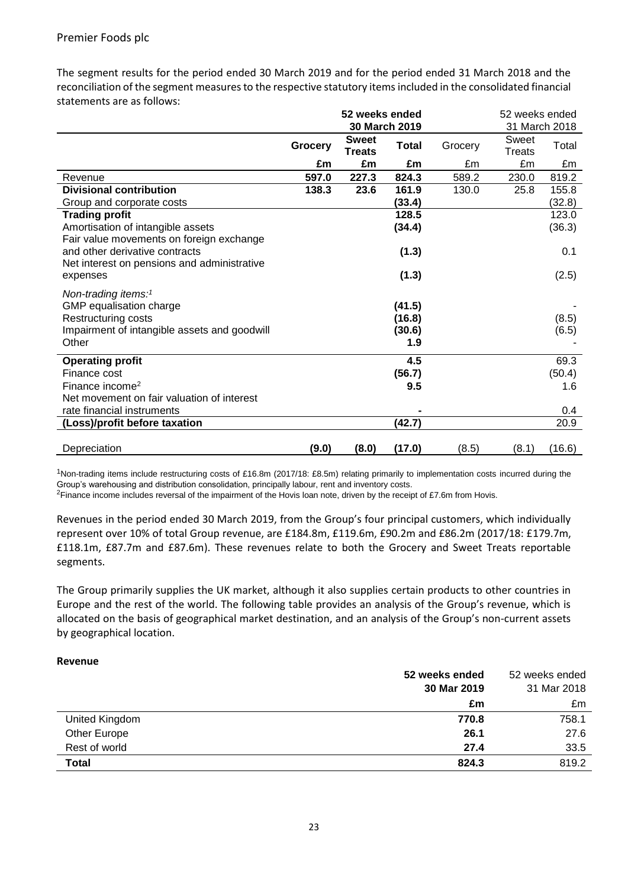The segment results for the period ended 30 March 2019 and for the period ended 31 March 2018 and the reconciliation of the segment measures to the respective statutory items included in the consolidated financial statements are as follows:

|                                                                                                                                            |         | 52 weeks ended                | 30 March 2019                     |         | 52 weeks ended<br>31 March 2018 |                |
|--------------------------------------------------------------------------------------------------------------------------------------------|---------|-------------------------------|-----------------------------------|---------|---------------------------------|----------------|
|                                                                                                                                            | Grocery | <b>Sweet</b><br><b>Treats</b> | <b>Total</b>                      | Grocery | Sweet<br>Treats                 | Total          |
|                                                                                                                                            | £m      | £m                            | £m                                | £m      | £m                              | £m             |
| Revenue                                                                                                                                    | 597.0   | 227.3                         | 824.3                             | 589.2   | 230.0                           | 819.2          |
| <b>Divisional contribution</b>                                                                                                             | 138.3   | 23.6                          | 161.9                             | 130.0   | 25.8                            | 155.8          |
| Group and corporate costs                                                                                                                  |         |                               | (33.4)                            |         |                                 | (32.8)         |
| <b>Trading profit</b>                                                                                                                      |         |                               | 128.5                             |         |                                 | 123.0          |
| Amortisation of intangible assets                                                                                                          |         |                               | (34.4)                            |         |                                 | (36.3)         |
| Fair value movements on foreign exchange<br>and other derivative contracts<br>Net interest on pensions and administrative                  |         |                               | (1.3)                             |         |                                 | 0.1            |
| expenses                                                                                                                                   |         |                               | (1.3)                             |         |                                 | (2.5)          |
| Non-trading items: <sup>1</sup><br>GMP equalisation charge<br>Restructuring costs<br>Impairment of intangible assets and goodwill<br>Other |         |                               | (41.5)<br>(16.8)<br>(30.6)<br>1.9 |         |                                 | (8.5)<br>(6.5) |
| <b>Operating profit</b>                                                                                                                    |         |                               | 4.5                               |         |                                 | 69.3           |
| Finance cost                                                                                                                               |         |                               | (56.7)                            |         |                                 | (50.4)         |
| Finance income <sup>2</sup>                                                                                                                |         |                               | 9.5                               |         |                                 | 1.6            |
| Net movement on fair valuation of interest<br>rate financial instruments                                                                   |         |                               |                                   |         |                                 | 0.4            |
| (Loss)/profit before taxation                                                                                                              |         |                               | (42.7)                            |         |                                 | 20.9           |
| Depreciation                                                                                                                               | (9.0)   | (8.0)                         | (17.0)                            | (8.5)   | (8.1)                           | (16.6)         |

<sup>1</sup>Non-trading items include restructuring costs of £16.8m (2017/18: £8.5m) relating primarily to implementation costs incurred during the Group's warehousing and distribution consolidation, principally labour, rent and inventory costs.

<sup>2</sup>Finance income includes reversal of the impairment of the Hovis loan note, driven by the receipt of £7.6m from Hovis.

Revenues in the period ended 30 March 2019, from the Group's four principal customers, which individually represent over 10% of total Group revenue, are £184.8m, £119.6m, £90.2m and £86.2m (2017/18: £179.7m, £118.1m, £87.7m and £87.6m). These revenues relate to both the Grocery and Sweet Treats reportable segments.

The Group primarily supplies the UK market, although it also supplies certain products to other countries in Europe and the rest of the world. The following table provides an analysis of the Group's revenue, which is allocated on the basis of geographical market destination, and an analysis of the Group's non-current assets by geographical location.

#### **Revenue**

|                | 52 weeks ended | 52 weeks ended |
|----------------|----------------|----------------|
|                | 30 Mar 2019    | 31 Mar 2018    |
|                | £m             | £m             |
| United Kingdom | 770.8          | 758.1          |
| Other Europe   | 26.1           | 27.6           |
| Rest of world  | 27.4           | 33.5           |
| <b>Total</b>   | 824.3          | 819.2          |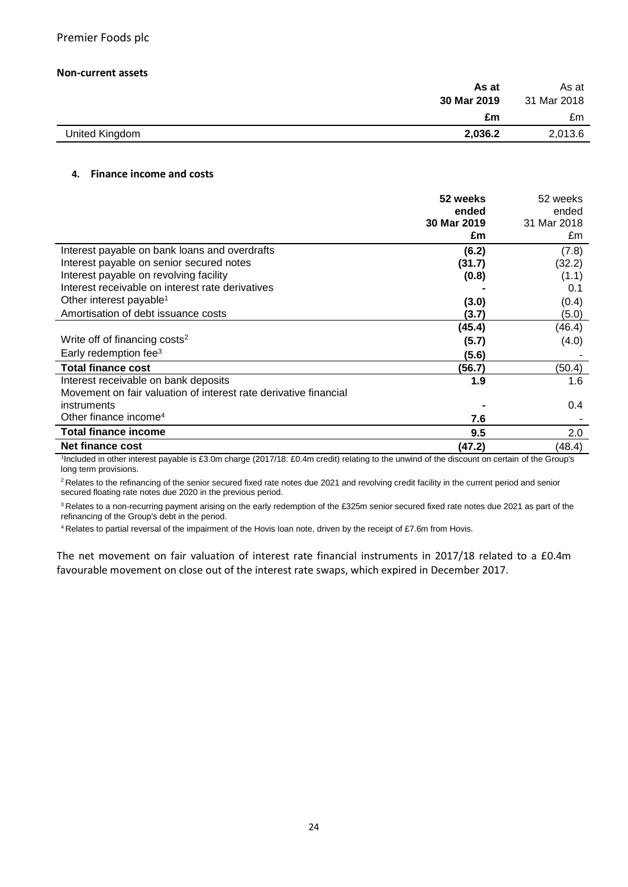#### **Non-current assets**

|                | As at       | As at       |
|----------------|-------------|-------------|
|                | 30 Mar 2019 | 31 Mar 2018 |
|                | £m          | £m          |
| United Kingdom | 2,036.2     | 2,013.6     |
|                |             |             |

#### **4. Finance income and costs**

|                                                                  | 52 weeks<br>ended<br>30 Mar 2019<br>£m | 52 weeks<br>ended<br>31 Mar 2018<br>£m |
|------------------------------------------------------------------|----------------------------------------|----------------------------------------|
| Interest payable on bank loans and overdrafts                    | (6.2)                                  | (7.8)                                  |
| Interest payable on senior secured notes                         | (31.7)                                 | (32.2)                                 |
| Interest payable on revolving facility                           | (0.8)                                  | (1.1)                                  |
| Interest receivable on interest rate derivatives                 |                                        | 0.1                                    |
| Other interest payable <sup>1</sup>                              | (3.0)                                  | (0.4)                                  |
| Amortisation of debt issuance costs                              | (3.7)                                  | (5.0)                                  |
|                                                                  | (45.4)                                 | (46.4)                                 |
| Write off of financing costs <sup>2</sup>                        | (5.7)                                  | (4.0)                                  |
| Early redemption fee <sup>3</sup>                                | (5.6)                                  |                                        |
| <b>Total finance cost</b>                                        | (56.7)                                 | (50.4)                                 |
| Interest receivable on bank deposits                             | 1.9                                    | 1.6                                    |
| Movement on fair valuation of interest rate derivative financial |                                        |                                        |
| instruments                                                      |                                        | 0.4                                    |
| Other finance income <sup>4</sup>                                | 7.6                                    |                                        |
| <b>Total finance income</b>                                      | 9.5                                    | 2.0                                    |
| Net finance cost                                                 | (47.2)                                 | (48.4)                                 |

1 Included in other interest payable is £3.0m charge (2017/18: £0.4m credit) relating to the unwind of the discount on certain of the Group's long term provisions.

<sup>2</sup> Relates to the refinancing of the senior secured fixed rate notes due 2021 and revolving credit facility in the current period and senior secured floating rate notes due 2020 in the previous period.

 $3$  Relates to a non-recurring payment arising on the early redemption of the £325m senior secured fixed rate notes due 2021 as part of the refinancing of the Group's debt in the period.

<sup>4</sup> Relates to partial reversal of the impairment of the Hovis loan note, driven by the receipt of £7.6m from Hovis.

The net movement on fair valuation of interest rate financial instruments in 2017/18 related to a £0.4m favourable movement on close out of the interest rate swaps, which expired in December 2017.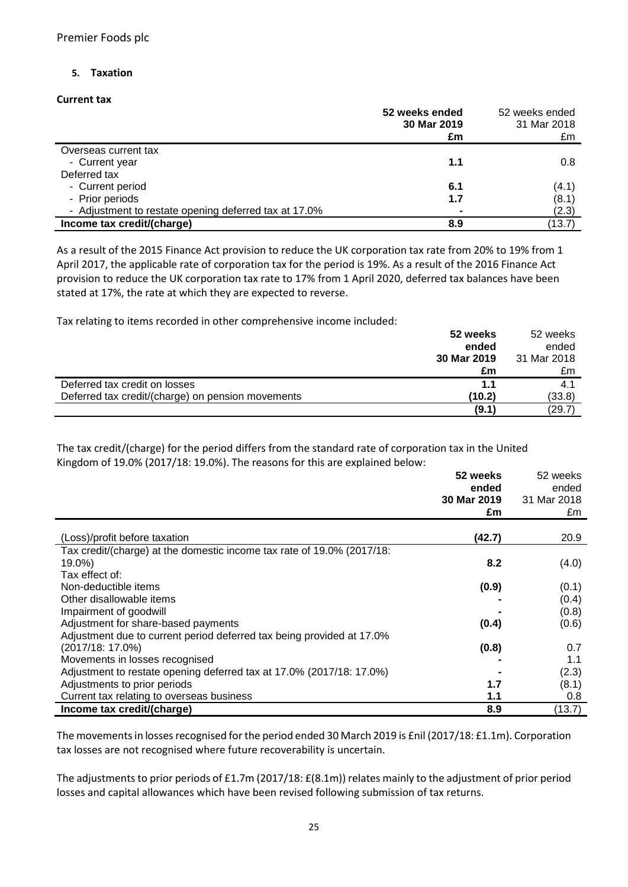## **5. Taxation**

| <b>Current tax</b>                                    |                                     |                                     |
|-------------------------------------------------------|-------------------------------------|-------------------------------------|
|                                                       | 52 weeks ended<br>30 Mar 2019<br>£m | 52 weeks ended<br>31 Mar 2018<br>£m |
| Overseas current tax                                  |                                     |                                     |
| - Current year                                        | 1.1                                 | 0.8                                 |
| Deferred tax                                          |                                     |                                     |
| - Current period                                      | 6.1                                 | (4.1)                               |
| - Prior periods                                       | 1.7                                 | (8.1)                               |
| - Adjustment to restate opening deferred tax at 17.0% |                                     | (2.3)                               |
| Income tax credit/(charge)                            | 8.9                                 | (13.7)                              |

As a result of the 2015 Finance Act provision to reduce the UK corporation tax rate from 20% to 19% from 1 April 2017, the applicable rate of corporation tax for the period is 19%. As a result of the 2016 Finance Act provision to reduce the UK corporation tax rate to 17% from 1 April 2020, deferred tax balances have been stated at 17%, the rate at which they are expected to reverse.

Tax relating to items recorded in other comprehensive income included:

|                                                   | 52 weeks | 52 weeks    |
|---------------------------------------------------|----------|-------------|
|                                                   | ended    | ended       |
| 30 Mar 2019                                       |          | 31 Mar 2018 |
|                                                   | £m       | £m          |
| Deferred tax credit on losses                     | 1.1      | 4.1         |
| Deferred tax credit/(charge) on pension movements | (10.2)   | (33.8)      |
|                                                   | (9.1)    | (29.7)      |

The tax credit/(charge) for the period differs from the standard rate of corporation tax in the United Kingdom of 19.0% (2017/18: 19.0%). The reasons for this are explained below:

|                                                                        | 52 weeks    | 52 weeks    |
|------------------------------------------------------------------------|-------------|-------------|
|                                                                        | ended       | ended       |
|                                                                        | 30 Mar 2019 | 31 Mar 2018 |
|                                                                        | £m          | £m          |
|                                                                        |             |             |
| (Loss)/profit before taxation                                          | (42.7)      | 20.9        |
| Tax credit/(charge) at the domestic income tax rate of 19.0% (2017/18: |             |             |
| 19.0%)                                                                 | 8.2         | (4.0)       |
| Tax effect of:                                                         |             |             |
| Non-deductible items                                                   | (0.9)       | (0.1)       |
| Other disallowable items                                               |             | (0.4)       |
| Impairment of goodwill                                                 |             | (0.8)       |
| Adjustment for share-based payments                                    | (0.4)       | (0.6)       |
| Adjustment due to current period deferred tax being provided at 17.0%  |             |             |
| $(2017/18: 17.0\%)$                                                    | (0.8)       | 0.7         |
| Movements in losses recognised                                         |             | 1.1         |
| Adjustment to restate opening deferred tax at 17.0% (2017/18: 17.0%)   |             | (2.3)       |
| Adjustments to prior periods                                           | 1.7         | (8.1)       |
| Current tax relating to overseas business                              | 1.1         | 0.8         |
| Income tax credit/(charge)                                             | 8.9         | (13.7)      |

The movements in losses recognised for the period ended 30 March 2019 is £nil (2017/18: £1.1m). Corporation tax losses are not recognised where future recoverability is uncertain.

The adjustments to prior periods of £1.7m (2017/18: £(8.1m)) relates mainly to the adjustment of prior period losses and capital allowances which have been revised following submission of tax returns.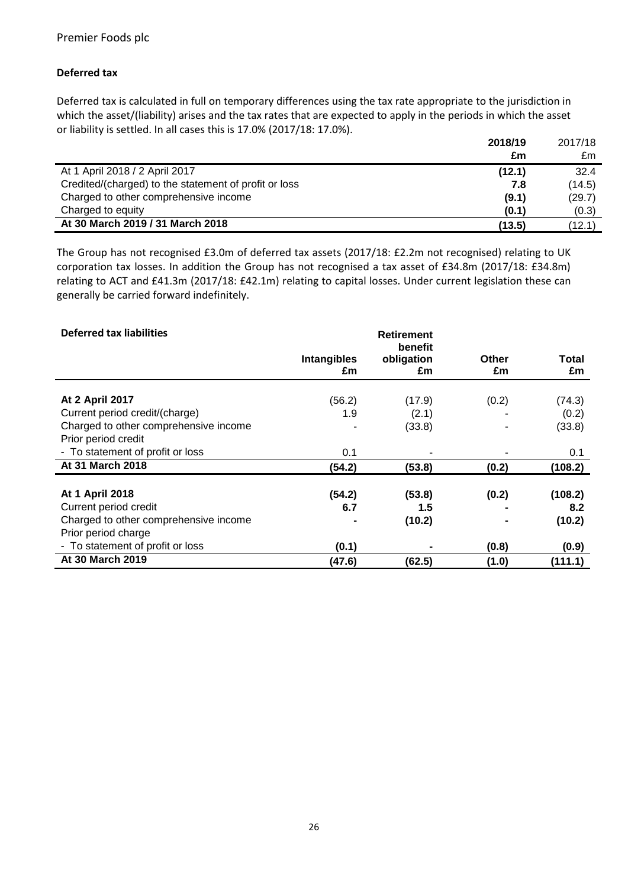## **Deferred tax**

Deferred tax is calculated in full on temporary differences using the tax rate appropriate to the jurisdiction in which the asset/(liability) arises and the tax rates that are expected to apply in the periods in which the asset or liability is settled. In all cases this is 17.0% (2017/18: 17.0%).

|                                                       | 2018/19 | 2017/18 |
|-------------------------------------------------------|---------|---------|
|                                                       | £m      | £m      |
| At 1 April 2018 / 2 April 2017                        | (12.1)  | 32.4    |
| Credited/(charged) to the statement of profit or loss | 7.8     | (14.5)  |
| Charged to other comprehensive income                 | (9.1)   | (29.7)  |
| Charged to equity                                     | (0.1)   | (0.3)   |
| At 30 March 2019 / 31 March 2018                      | (13.5)  | (12.1)  |

The Group has not recognised £3.0m of deferred tax assets (2017/18: £2.2m not recognised) relating to UK corporation tax losses. In addition the Group has not recognised a tax asset of £34.8m (2017/18: £34.8m) relating to ACT and £41.3m (2017/18: £42.1m) relating to capital losses. Under current legislation these can generally be carried forward indefinitely.

| <b>Deferred tax liabilities</b>       |                          | <b>Retirement</b>           |                    |             |
|---------------------------------------|--------------------------|-----------------------------|--------------------|-------------|
|                                       | <b>Intangibles</b><br>£m | benefit<br>obligation<br>£m | <b>Other</b><br>£m | Total<br>£m |
|                                       |                          |                             |                    |             |
| <b>At 2 April 2017</b>                | (56.2)                   | (17.9)                      | (0.2)              | (74.3)      |
| Current period credit/(charge)        | 1.9                      | (2.1)                       |                    | (0.2)       |
| Charged to other comprehensive income |                          | (33.8)                      |                    | (33.8)      |
| Prior period credit                   |                          |                             |                    |             |
| - To statement of profit or loss      | 0.1                      |                             |                    | 0.1         |
| At 31 March 2018                      | (54.2)                   | (53.8)                      | (0.2)              | (108.2)     |
|                                       |                          |                             |                    |             |
| <b>At 1 April 2018</b>                | (54.2)                   | (53.8)                      | (0.2)              | (108.2)     |
| Current period credit                 | 6.7                      | 1.5                         |                    | 8.2         |
| Charged to other comprehensive income |                          | (10.2)                      |                    | (10.2)      |
| Prior period charge                   |                          |                             |                    |             |
| - To statement of profit or loss      | (0.1)                    |                             | (0.8)              | (0.9)       |
| At 30 March 2019                      | (47.6)                   | (62.5)                      | (1.0)              | (111.1)     |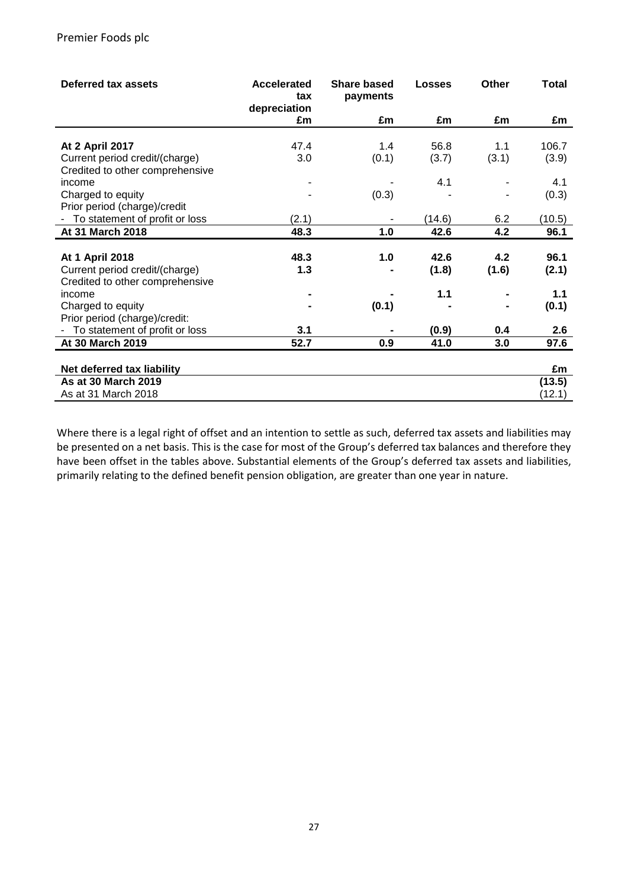| Deferred tax assets              | Accelerated<br>tax<br>depreciation | Share based<br>payments | <b>Losses</b> | <b>Other</b> | <b>Total</b> |
|----------------------------------|------------------------------------|-------------------------|---------------|--------------|--------------|
|                                  | £m                                 | £m                      | £m            | £m           | £m           |
|                                  |                                    |                         |               |              |              |
| <b>At 2 April 2017</b>           | 47.4                               | 1.4                     | 56.8          | 1.1          | 106.7        |
| Current period credit/(charge)   | 3.0                                | (0.1)                   | (3.7)         | (3.1)        | (3.9)        |
| Credited to other comprehensive  |                                    |                         |               |              |              |
| income                           |                                    |                         | 4.1           |              | 4.1          |
| Charged to equity                |                                    | (0.3)                   |               |              | (0.3)        |
| Prior period (charge)/credit     |                                    |                         |               |              |              |
| - To statement of profit or loss | (2.1)                              |                         | (14.6)        | 6.2          | (10.5)       |
| At 31 March 2018                 | 48.3                               | 1.0                     | 42.6          | 4.2          | 96.1         |
|                                  |                                    |                         |               |              |              |
| <b>At 1 April 2018</b>           | 48.3                               | 1.0                     | 42.6          | 4.2          | 96.1         |
| Current period credit/(charge)   | 1.3                                |                         | (1.8)         | (1.6)        | (2.1)        |
| Credited to other comprehensive  |                                    |                         |               |              |              |
| income                           |                                    |                         | 1.1           |              | 1.1          |
| Charged to equity                |                                    | (0.1)                   |               |              | (0.1)        |
| Prior period (charge)/credit:    |                                    |                         |               |              |              |
| - To statement of profit or loss | 3.1                                |                         | (0.9)         | 0.4          | 2.6          |
| At 30 March 2019                 | 52.7                               | 0.9                     | 41.0          | 3.0          | 97.6         |
|                                  |                                    |                         |               |              |              |
| Net deferred tax liability       |                                    |                         |               |              | £m           |
| As at 30 March 2019              |                                    |                         |               |              | (13.5)       |
| As at 31 March 2018              |                                    |                         |               |              | (12.1)       |

Where there is a legal right of offset and an intention to settle as such, deferred tax assets and liabilities may be presented on a net basis. This is the case for most of the Group's deferred tax balances and therefore they have been offset in the tables above. Substantial elements of the Group's deferred tax assets and liabilities, primarily relating to the defined benefit pension obligation, are greater than one year in nature.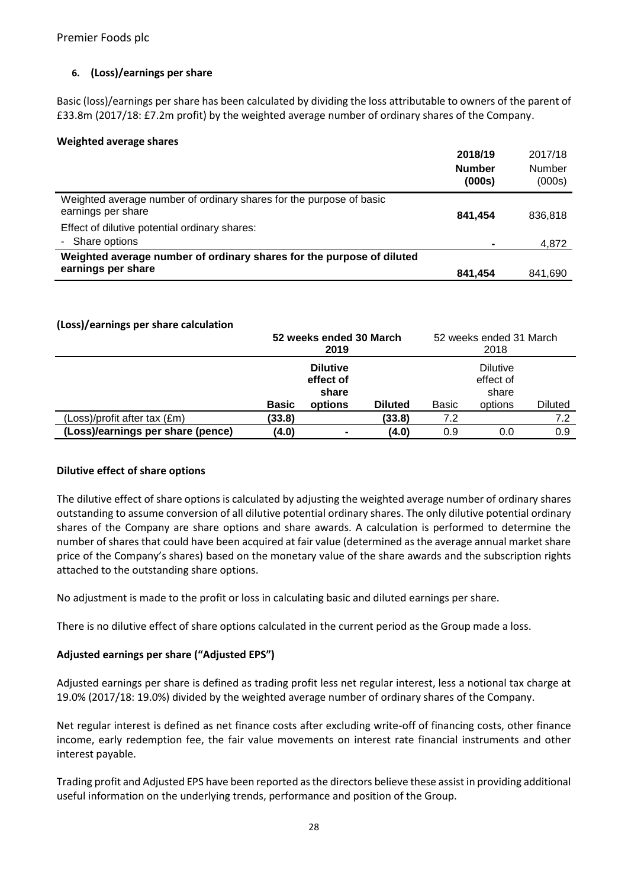## **6. (Loss)/earnings per share**

Basic (loss)/earnings per share has been calculated by dividing the loss attributable to owners of the parent of £33.8m (2017/18: £7.2m profit) by the weighted average number of ordinary shares of the Company.

#### **Weighted average shares**

|                                                                                           | 2018/19<br><b>Number</b><br>(000s) | 2017/18<br><b>Number</b><br>(000s) |
|-------------------------------------------------------------------------------------------|------------------------------------|------------------------------------|
| Weighted average number of ordinary shares for the purpose of basic<br>earnings per share | 841.454                            | 836.818                            |
| Effect of dilutive potential ordinary shares:                                             |                                    |                                    |
| - Share options                                                                           | $\blacksquare$                     | 4,872                              |
| Weighted average number of ordinary shares for the purpose of diluted                     |                                    |                                    |
| earnings per share                                                                        | 841.454                            | 841.690                            |

#### **(Loss)/earnings per share calculation**

|                                   | 52 weeks ended 30 March<br>2019       |         | 52 weeks ended 31 March<br>2018 |                                       |         |                |
|-----------------------------------|---------------------------------------|---------|---------------------------------|---------------------------------------|---------|----------------|
|                                   | <b>Dilutive</b><br>effect of<br>share |         |                                 | <b>Dilutive</b><br>effect of<br>share |         |                |
|                                   | <b>Basic</b>                          | options | <b>Diluted</b>                  | <b>Basic</b>                          | options | <b>Diluted</b> |
| (Loss)/profit after tax (£m)      | (33.8)                                |         | (33.8)                          | 7.2                                   |         | 7.2            |
| (Loss)/earnings per share (pence) | (4.0)                                 |         | (4.0)                           | 0.9                                   | 0.0     | 0.9            |

#### **Dilutive effect of share options**

The dilutive effect of share options is calculated by adjusting the weighted average number of ordinary shares outstanding to assume conversion of all dilutive potential ordinary shares. The only dilutive potential ordinary shares of the Company are share options and share awards. A calculation is performed to determine the number of shares that could have been acquired at fair value (determined as the average annual market share price of the Company's shares) based on the monetary value of the share awards and the subscription rights attached to the outstanding share options.

No adjustment is made to the profit or loss in calculating basic and diluted earnings per share.

There is no dilutive effect of share options calculated in the current period as the Group made a loss.

## **Adjusted earnings per share ("Adjusted EPS")**

Adjusted earnings per share is defined as trading profit less net regular interest, less a notional tax charge at 19.0% (2017/18: 19.0%) divided by the weighted average number of ordinary shares of the Company.

Net regular interest is defined as net finance costs after excluding write-off of financing costs, other finance income, early redemption fee, the fair value movements on interest rate financial instruments and other interest payable.

Trading profit and Adjusted EPS have been reported as the directors believe these assist in providing additional useful information on the underlying trends, performance and position of the Group.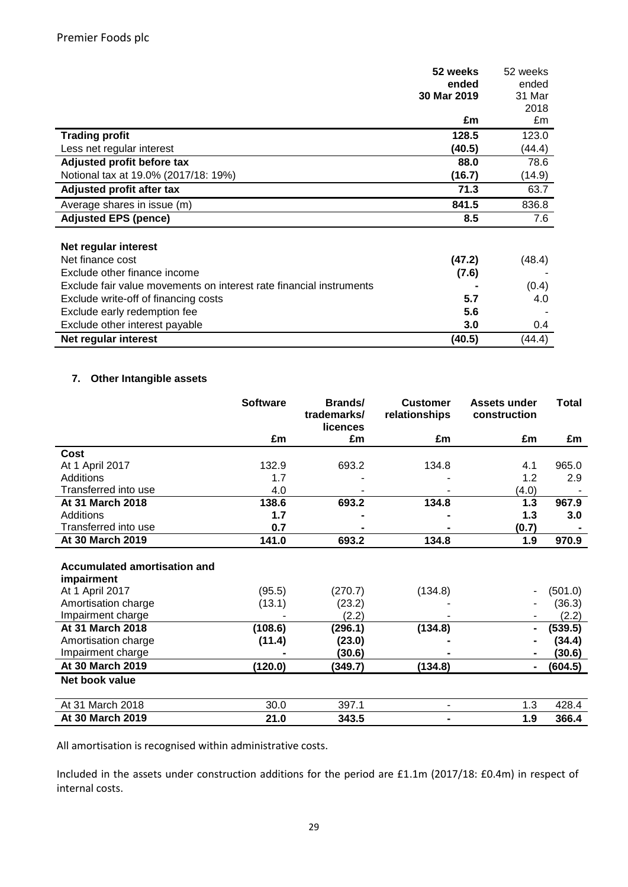|                                                                     | 52 weeks    | 52 weeks |
|---------------------------------------------------------------------|-------------|----------|
|                                                                     | ended       | ended    |
|                                                                     | 30 Mar 2019 | 31 Mar   |
|                                                                     |             | 2018     |
|                                                                     | £m          | £m       |
| <b>Trading profit</b>                                               | 128.5       | 123.0    |
| Less net regular interest                                           | (40.5)      | (44.4)   |
| Adjusted profit before tax                                          | 88.0        | 78.6     |
| Notional tax at 19.0% (2017/18: 19%)                                | (16.7)      | (14.9)   |
| Adjusted profit after tax                                           | 71.3        | 63.7     |
| Average shares in issue (m)                                         | 841.5       | 836.8    |
| <b>Adjusted EPS (pence)</b>                                         | 8.5         | 7.6      |
|                                                                     |             |          |
| Net regular interest                                                |             |          |
| Net finance cost                                                    | (47.2)      | (48.4)   |
| Exclude other finance income                                        | (7.6)       |          |
| Exclude fair value movements on interest rate financial instruments |             | (0.4)    |
| Exclude write-off of financing costs                                | 5.7         | 4.0      |
| Exclude early redemption fee                                        | 5.6         |          |
| Exclude other interest payable                                      | 3.0         | 0.4      |
| Net regular interest                                                | (40.5)      | (44.4)   |

## **7. Other Intangible assets**

|                                            | <b>Software</b> | Brands/<br>trademarks/<br>licences | <b>Customer</b><br>relationships | <b>Assets under</b><br>construction | <b>Total</b> |
|--------------------------------------------|-----------------|------------------------------------|----------------------------------|-------------------------------------|--------------|
|                                            | £m              | £m                                 | £m                               | £m                                  | £m           |
| Cost                                       |                 |                                    |                                  |                                     |              |
| At 1 April 2017                            | 132.9           | 693.2                              | 134.8                            | 4.1                                 | 965.0        |
| Additions                                  | 1.7             |                                    |                                  | 1.2                                 | 2.9          |
| Transferred into use                       | 4.0             |                                    |                                  | (4.0)                               |              |
| At 31 March 2018                           | 138.6           | 693.2                              | 134.8                            | 1.3                                 | 967.9        |
| Additions                                  | 1.7             |                                    |                                  | 1.3                                 | 3.0          |
| Transferred into use                       | 0.7             |                                    |                                  | (0.7)                               |              |
| At 30 March 2019                           | 141.0           | 693.2                              | 134.8                            | 1.9                                 | 970.9        |
| Accumulated amortisation and<br>impairment |                 |                                    |                                  |                                     |              |
| At 1 April 2017                            | (95.5)          | (270.7)                            | (134.8)                          |                                     | (501.0)      |
| Amortisation charge                        | (13.1)          | (23.2)                             |                                  |                                     | (36.3)       |
| Impairment charge                          |                 | (2.2)                              |                                  |                                     | (2.2)        |
| At 31 March 2018                           | (108.6)         | (296.1)                            | (134.8)                          |                                     | (539.5)      |
| Amortisation charge                        | (11.4)          | (23.0)                             |                                  |                                     | (34.4)       |
| Impairment charge                          |                 | (30.6)                             |                                  |                                     | (30.6)       |
| At 30 March 2019                           | (120.0)         | (349.7)                            | (134.8)                          |                                     | (604.5)      |
| Net book value                             |                 |                                    |                                  |                                     |              |
| At 31 March 2018                           | 30.0            | 397.1                              | $\blacksquare$                   | 1.3                                 | 428.4        |
| At 30 March 2019                           | 21.0            | 343.5                              |                                  | 1.9                                 | 366.4        |

All amortisation is recognised within administrative costs.

Included in the assets under construction additions for the period are £1.1m (2017/18: £0.4m) in respect of internal costs.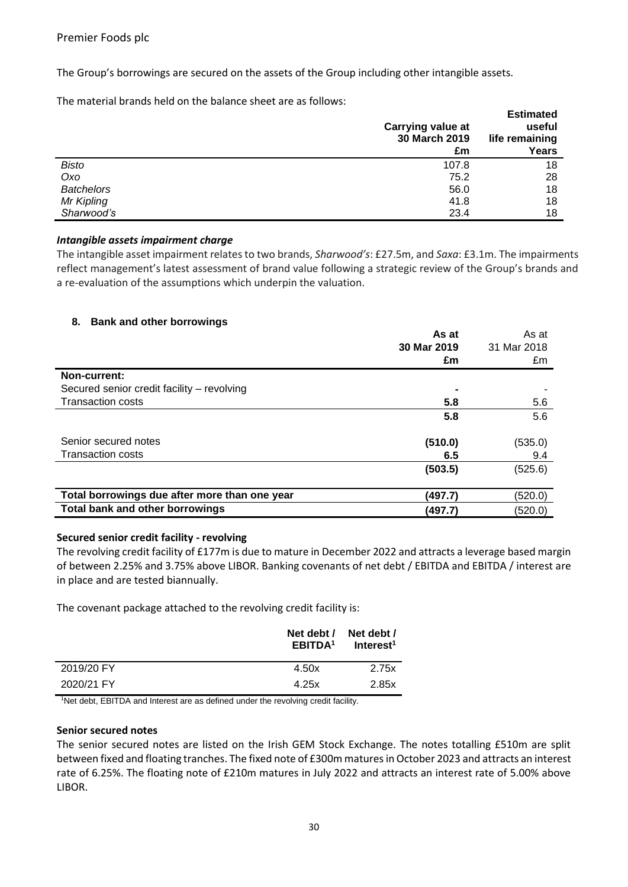## Premier Foods plc

The Group's borrowings are secured on the assets of the Group including other intangible assets.

The material brands held on the balance sheet are as follows:

|                   | <b>Carrying value at</b><br>30 March 2019<br>£m | <b>Estimated</b><br>useful<br>life remaining<br>Years |
|-------------------|-------------------------------------------------|-------------------------------------------------------|
| <b>Bisto</b>      | 107.8                                           | 18                                                    |
| Oxo               | 75.2                                            | 28                                                    |
| <b>Batchelors</b> | 56.0                                            | 18                                                    |
| Mr Kipling        | 41.8                                            | 18                                                    |
| Sharwood's        | 23.4                                            | 18                                                    |

#### *Intangible assets impairment charge*

The intangible asset impairment relates to two brands, *Sharwood's*: £27.5m, and *Saxa*: £3.1m. The impairments reflect management's latest assessment of brand value following a strategic review of the Group's brands and a re-evaluation of the assumptions which underpin the valuation.

#### **8. Bank and other borrowings**

|                                               | As at<br>30 Mar 2019 | As at<br>31 Mar 2018 |
|-----------------------------------------------|----------------------|----------------------|
|                                               | £m                   | £m                   |
| Non-current:                                  |                      |                      |
| Secured senior credit facility - revolving    |                      |                      |
| <b>Transaction costs</b>                      | 5.8                  | 5.6                  |
|                                               | 5.8                  | 5.6                  |
| Senior secured notes                          | (510.0)              | (535.0)              |
| <b>Transaction costs</b>                      | 6.5                  | 9.4                  |
|                                               | (503.5)              | (525.6)              |
| Total borrowings due after more than one year | (497.7)              | (520.0)              |
| <b>Total bank and other borrowings</b>        | (497.7)              | (520.0)              |

#### **Secured senior credit facility - revolving**

The revolving credit facility of £177m is due to mature in December 2022 and attracts a leverage based margin of between 2.25% and 3.75% above LIBOR. Banking covenants of net debt / EBITDA and EBITDA / interest are in place and are tested biannually.

The covenant package attached to the revolving credit facility is:

|            | Net debt /<br>EBITDA <sup>1</sup> | Net debt /<br>Interest <sup>1</sup> |
|------------|-----------------------------------|-------------------------------------|
| 2019/20 FY | 4.50x                             | 2.75x                               |
| 2020/21 FY | 4.25x                             | 2.85x                               |

<sup>1</sup>Net debt, EBITDA and Interest are as defined under the revolving credit facility.

#### **Senior secured notes**

The senior secured notes are listed on the Irish GEM Stock Exchange. The notes totalling £510m are split between fixed and floating tranches. The fixed note of £300m matures in October 2023 and attracts an interest rate of 6.25%. The floating note of £210m matures in July 2022 and attracts an interest rate of 5.00% above LIBOR.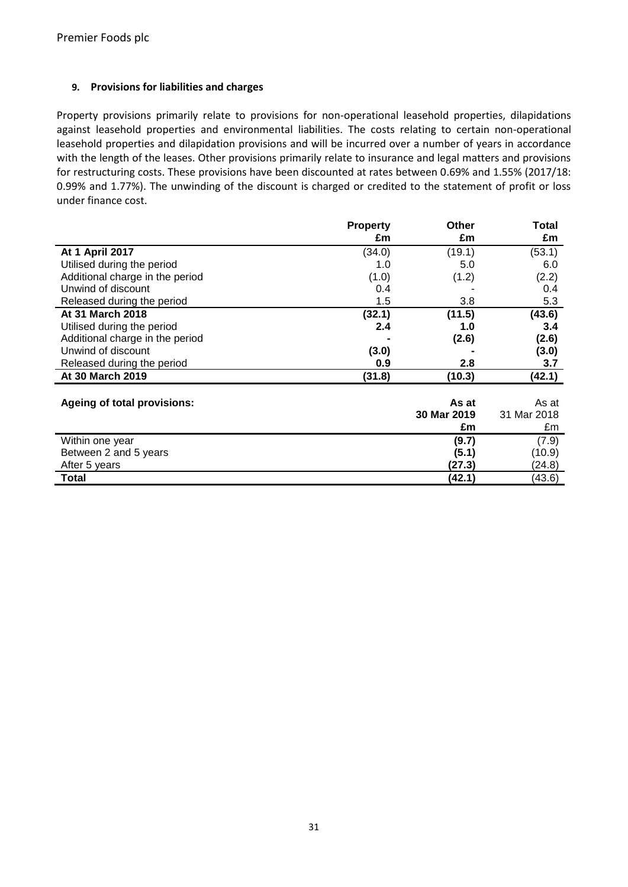## **9. Provisions for liabilities and charges**

Property provisions primarily relate to provisions for non-operational leasehold properties, dilapidations against leasehold properties and environmental liabilities. The costs relating to certain non-operational leasehold properties and dilapidation provisions and will be incurred over a number of years in accordance with the length of the leases. Other provisions primarily relate to insurance and legal matters and provisions for restructuring costs. These provisions have been discounted at rates between 0.69% and 1.55% (2017/18: 0.99% and 1.77%). The unwinding of the discount is charged or credited to the statement of profit or loss under finance cost.

|                                    | <b>Property</b> | <b>Other</b> | Total       |
|------------------------------------|-----------------|--------------|-------------|
|                                    | £m              | £m           | £m          |
| <b>At 1 April 2017</b>             | (34.0)          | (19.1)       | (53.1)      |
| Utilised during the period         | 1.0             | 5.0          | 6.0         |
| Additional charge in the period    | (1.0)           | (1.2)        | (2.2)       |
| Unwind of discount                 | 0.4             |              | 0.4         |
| Released during the period         | 1.5             | 3.8          | 5.3         |
| At 31 March 2018                   | (32.1)          | (11.5)       | (43.6)      |
| Utilised during the period         | 2.4             | 1.0          | 3.4         |
| Additional charge in the period    |                 | (2.6)        | (2.6)       |
| Unwind of discount                 | (3.0)           |              | (3.0)       |
| Released during the period         | 0.9             | 2.8          | 3.7         |
| At 30 March 2019                   | (31.8)          | (10.3)       | (42.1)      |
|                                    |                 |              |             |
| <b>Ageing of total provisions:</b> |                 | As at        | As at       |
|                                    |                 | 30 Mar 2019  | 31 Mar 2018 |
|                                    |                 | £m           | £m          |
| Within one year                    |                 | (9.7)        | (7.9)       |
| Between 2 and 5 years              |                 | (5.1)        | (10.9)      |
| After 5 years                      |                 | (27.3)       | (24.8)      |
| Total                              |                 | (42.1)       | (43.6)      |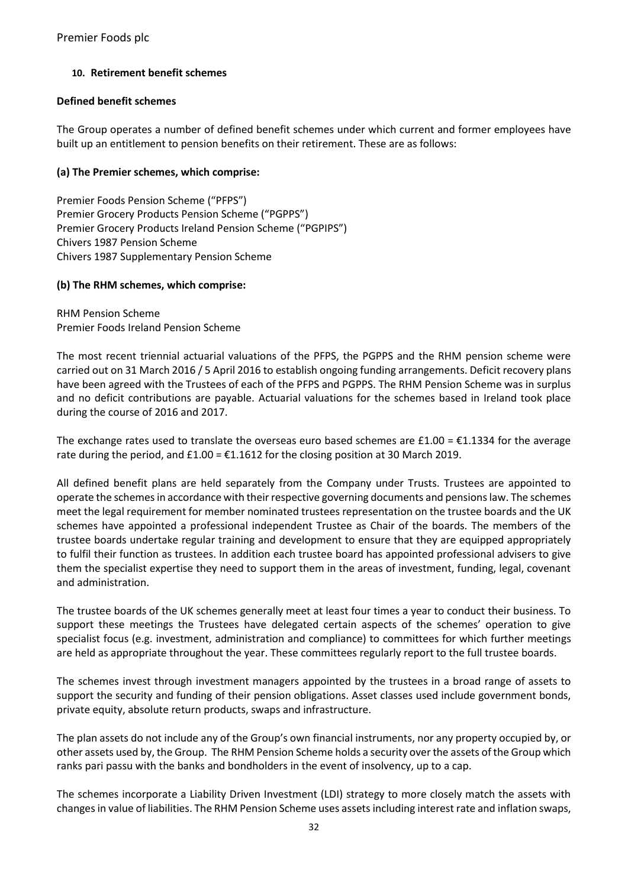## **10. Retirement benefit schemes**

## **Defined benefit schemes**

The Group operates a number of defined benefit schemes under which current and former employees have built up an entitlement to pension benefits on their retirement. These are as follows:

## **(a) The Premier schemes, which comprise:**

Premier Foods Pension Scheme ("PFPS") Premier Grocery Products Pension Scheme ("PGPPS") Premier Grocery Products Ireland Pension Scheme ("PGPIPS") Chivers 1987 Pension Scheme Chivers 1987 Supplementary Pension Scheme

## **(b) The RHM schemes, which comprise:**

RHM Pension Scheme Premier Foods Ireland Pension Scheme

The most recent triennial actuarial valuations of the PFPS, the PGPPS and the RHM pension scheme were carried out on 31 March 2016 / 5 April 2016 to establish ongoing funding arrangements. Deficit recovery plans have been agreed with the Trustees of each of the PFPS and PGPPS. The RHM Pension Scheme was in surplus and no deficit contributions are payable. Actuarial valuations for the schemes based in Ireland took place during the course of 2016 and 2017.

The exchange rates used to translate the overseas euro based schemes are  $£1.00 = £1.1334$  for the average rate during the period, and  $£1.00 = £1.1612$  for the closing position at 30 March 2019.

All defined benefit plans are held separately from the Company under Trusts. Trustees are appointed to operate the schemes in accordance with their respective governing documents and pensions law. The schemes meet the legal requirement for member nominated trustees representation on the trustee boards and the UK schemes have appointed a professional independent Trustee as Chair of the boards. The members of the trustee boards undertake regular training and development to ensure that they are equipped appropriately to fulfil their function as trustees. In addition each trustee board has appointed professional advisers to give them the specialist expertise they need to support them in the areas of investment, funding, legal, covenant and administration.

The trustee boards of the UK schemes generally meet at least four times a year to conduct their business. To support these meetings the Trustees have delegated certain aspects of the schemes' operation to give specialist focus (e.g. investment, administration and compliance) to committees for which further meetings are held as appropriate throughout the year. These committees regularly report to the full trustee boards.

The schemes invest through investment managers appointed by the trustees in a broad range of assets to support the security and funding of their pension obligations. Asset classes used include government bonds, private equity, absolute return products, swaps and infrastructure.

The plan assets do not include any of the Group's own financial instruments, nor any property occupied by, or other assets used by, the Group. The RHM Pension Scheme holds a security over the assets of the Group which ranks pari passu with the banks and bondholders in the event of insolvency, up to a cap.

The schemes incorporate a Liability Driven Investment (LDI) strategy to more closely match the assets with changes in value of liabilities. The RHM Pension Scheme uses assets including interest rate and inflation swaps,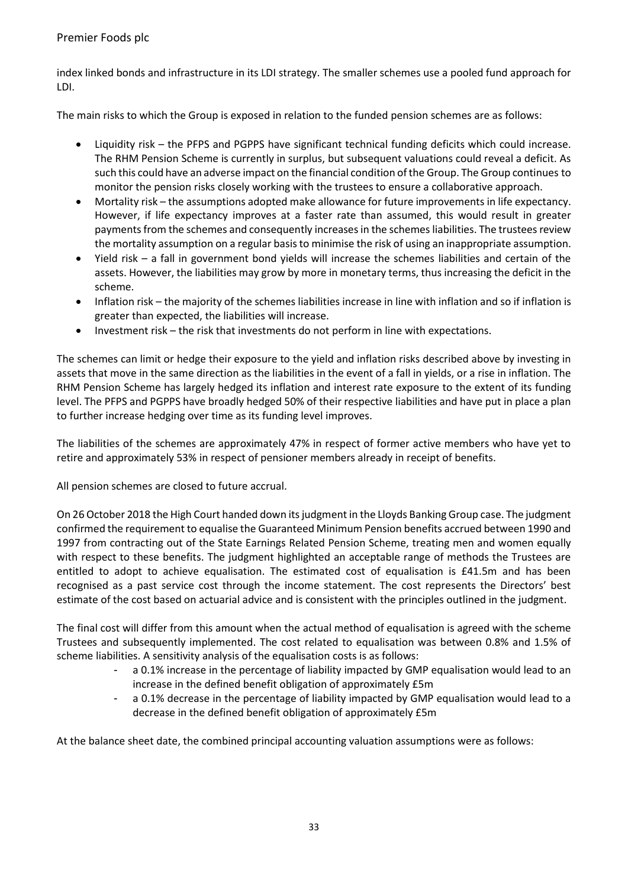## Premier Foods plc

index linked bonds and infrastructure in its LDI strategy. The smaller schemes use a pooled fund approach for LDI.

The main risks to which the Group is exposed in relation to the funded pension schemes are as follows:

- Liquidity risk the PFPS and PGPPS have significant technical funding deficits which could increase. The RHM Pension Scheme is currently in surplus, but subsequent valuations could reveal a deficit. As such this could have an adverse impact on the financial condition of the Group. The Group continues to monitor the pension risks closely working with the trustees to ensure a collaborative approach.
- Mortality risk the assumptions adopted make allowance for future improvements in life expectancy. However, if life expectancy improves at a faster rate than assumed, this would result in greater payments from the schemes and consequently increases in the schemes liabilities. The trustees review the mortality assumption on a regular basis to minimise the risk of using an inappropriate assumption.
- Yield risk a fall in government bond yields will increase the schemes liabilities and certain of the assets. However, the liabilities may grow by more in monetary terms, thus increasing the deficit in the scheme.
- Inflation risk the majority of the schemes liabilities increase in line with inflation and so if inflation is greater than expected, the liabilities will increase.
- Investment risk the risk that investments do not perform in line with expectations.

The schemes can limit or hedge their exposure to the yield and inflation risks described above by investing in assets that move in the same direction as the liabilities in the event of a fall in yields, or a rise in inflation. The RHM Pension Scheme has largely hedged its inflation and interest rate exposure to the extent of its funding level. The PFPS and PGPPS have broadly hedged 50% of their respective liabilities and have put in place a plan to further increase hedging over time as its funding level improves.

The liabilities of the schemes are approximately 47% in respect of former active members who have yet to retire and approximately 53% in respect of pensioner members already in receipt of benefits.

All pension schemes are closed to future accrual.

On 26 October 2018 the High Court handed down its judgment in the Lloyds Banking Group case. The judgment confirmed the requirement to equalise the Guaranteed Minimum Pension benefits accrued between 1990 and 1997 from contracting out of the State Earnings Related Pension Scheme, treating men and women equally with respect to these benefits. The judgment highlighted an acceptable range of methods the Trustees are entitled to adopt to achieve equalisation. The estimated cost of equalisation is £41.5m and has been recognised as a past service cost through the income statement. The cost represents the Directors' best estimate of the cost based on actuarial advice and is consistent with the principles outlined in the judgment.

The final cost will differ from this amount when the actual method of equalisation is agreed with the scheme Trustees and subsequently implemented. The cost related to equalisation was between 0.8% and 1.5% of scheme liabilities. A sensitivity analysis of the equalisation costs is as follows:

- a 0.1% increase in the percentage of liability impacted by GMP equalisation would lead to an increase in the defined benefit obligation of approximately £5m
- a 0.1% decrease in the percentage of liability impacted by GMP equalisation would lead to a decrease in the defined benefit obligation of approximately £5m

At the balance sheet date, the combined principal accounting valuation assumptions were as follows: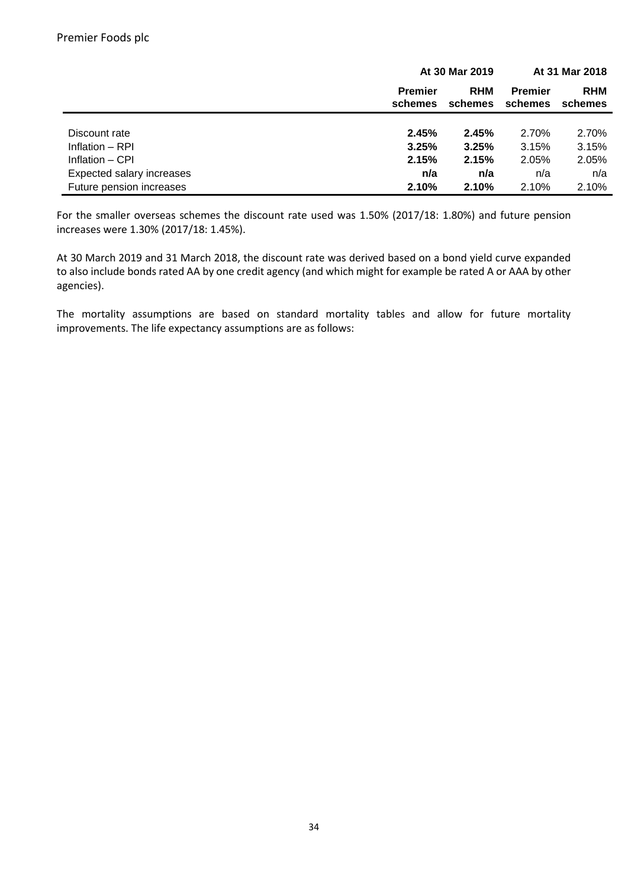## Premier Foods plc

|                           |                           | At 30 Mar 2019        |                           | At 31 Mar 2018        |
|---------------------------|---------------------------|-----------------------|---------------------------|-----------------------|
|                           | <b>Premier</b><br>schemes | <b>RHM</b><br>schemes | <b>Premier</b><br>schemes | <b>RHM</b><br>schemes |
|                           |                           |                       |                           |                       |
| Discount rate             | 2.45%                     | 2.45%                 | 2.70%                     | 2.70%                 |
| Inflation - RPI           | 3.25%                     | 3.25%                 | 3.15%                     | 3.15%                 |
| Inflation - CPI           | 2.15%                     | 2.15%                 | 2.05%                     | 2.05%                 |
| Expected salary increases | n/a                       | n/a                   | n/a                       | n/a                   |
| Future pension increases  | 2.10%                     | 2.10%                 | 2.10%                     | 2.10%                 |

For the smaller overseas schemes the discount rate used was 1.50% (2017/18: 1.80%) and future pension increases were 1.30% (2017/18: 1.45%).

At 30 March 2019 and 31 March 2018, the discount rate was derived based on a bond yield curve expanded to also include bonds rated AA by one credit agency (and which might for example be rated A or AAA by other agencies).

The mortality assumptions are based on standard mortality tables and allow for future mortality improvements. The life expectancy assumptions are as follows: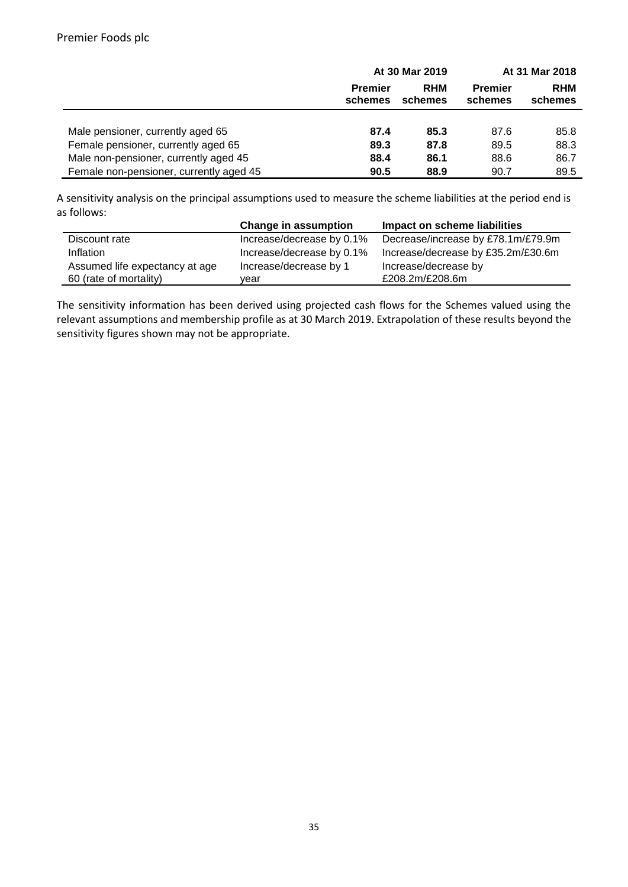|                                         |                           | At 30 Mar 2019        | At 31 Mar 2018 |                       |  |
|-----------------------------------------|---------------------------|-----------------------|----------------|-----------------------|--|
|                                         | <b>Premier</b><br>schemes | <b>RHM</b><br>schemes |                | <b>RHM</b><br>schemes |  |
| Male pensioner, currently aged 65       | 87.4                      | 85.3                  | 87.6           | 85.8                  |  |
| Female pensioner, currently aged 65     | 89.3                      | 87.8                  | 89.5           | 88.3                  |  |
| Male non-pensioner, currently aged 45   | 88.4                      | 86.1                  | 88.6           | 86.7                  |  |
| Female non-pensioner, currently aged 45 | 90.5                      | 88.9                  | 90.7           | 89.5                  |  |

A sensitivity analysis on the principal assumptions used to measure the scheme liabilities at the period end is as follows:

|                                | <b>Change in assumption</b> | Impact on scheme liabilities       |
|--------------------------------|-----------------------------|------------------------------------|
| Discount rate                  | Increase/decrease by 0.1%   | Decrease/increase by £78.1m/£79.9m |
| Inflation                      | Increase/decrease by 0.1%   | Increase/decrease by £35.2m/£30.6m |
| Assumed life expectancy at age | Increase/decrease by 1      | Increase/decrease by               |
| 60 (rate of mortality)         | vear                        | £208.2m/£208.6m                    |

The sensitivity information has been derived using projected cash flows for the Schemes valued using the relevant assumptions and membership profile as at 30 March 2019. Extrapolation of these results beyond the sensitivity figures shown may not be appropriate.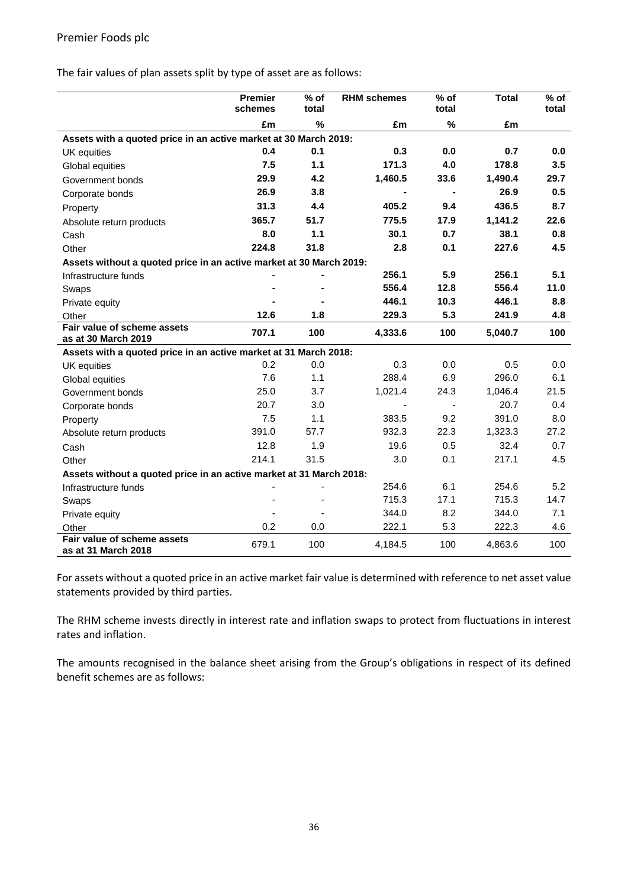## Premier Foods plc

The fair values of plan assets split by type of asset are as follows:

|                                                                     | Premier<br>schemes | $\overline{\%}$ of<br>total | <b>RHM</b> schemes | $\overline{\%}$ of<br>total | <b>Total</b> | $\frac{1}{2}$ of<br>total |
|---------------------------------------------------------------------|--------------------|-----------------------------|--------------------|-----------------------------|--------------|---------------------------|
|                                                                     | £m                 | %                           | £m                 | $\%$                        | £m           |                           |
| Assets with a quoted price in an active market at 30 March 2019:    |                    |                             |                    |                             |              |                           |
| UK equities                                                         | 0.4                | 0.1                         | 0.3                | 0.0                         | 0.7          | 0.0                       |
| Global equities                                                     | 7.5                | 1.1                         | 171.3              | 4.0                         | 178.8        | 3.5                       |
| Government bonds                                                    | 29.9               | 4.2                         | 1,460.5            | 33.6                        | 1,490.4      | 29.7                      |
| Corporate bonds                                                     | 26.9               | 3.8                         |                    |                             | 26.9         | 0.5                       |
| Property                                                            | 31.3               | 4.4                         | 405.2              | 9.4                         | 436.5        | 8.7                       |
| Absolute return products                                            | 365.7              | 51.7                        | 775.5              | 17.9                        | 1,141.2      | 22.6                      |
| Cash                                                                | 8.0                | 1.1                         | 30.1               | 0.7                         | 38.1         | 0.8                       |
| Other                                                               | 224.8              | 31.8                        | 2.8                | 0.1                         | 227.6        | 4.5                       |
| Assets without a quoted price in an active market at 30 March 2019: |                    |                             |                    |                             |              |                           |
| Infrastructure funds                                                |                    |                             | 256.1              | 5.9                         | 256.1        | 5.1                       |
| Swaps                                                               |                    |                             | 556.4              | 12.8                        | 556.4        | 11.0                      |
| Private equity                                                      |                    |                             | 446.1              | 10.3                        | 446.1        | 8.8                       |
| Other                                                               | 12.6               | 1.8                         | 229.3              | 5.3                         | 241.9        | 4.8                       |
| Fair value of scheme assets<br>as at 30 March 2019                  | 707.1              | 100                         | 4,333.6            | 100                         | 5,040.7      | 100                       |
| Assets with a quoted price in an active market at 31 March 2018:    |                    |                             |                    |                             |              |                           |
| UK equities                                                         | 0.2                | 0.0                         | 0.3                | 0.0                         | 0.5          | 0.0                       |
| Global equities                                                     | 7.6                | 1.1                         | 288.4              | 6.9                         | 296.0        | 6.1                       |
| Government bonds                                                    | 25.0               | 3.7                         | 1,021.4            | 24.3                        | 1,046.4      | 21.5                      |
| Corporate bonds                                                     | 20.7               | 3.0                         |                    |                             | 20.7         | 0.4                       |
| Property                                                            | 7.5                | 1.1                         | 383.5              | 9.2                         | 391.0        | 8.0                       |
| Absolute return products                                            | 391.0              | 57.7                        | 932.3              | 22.3                        | 1,323.3      | 27.2                      |
| Cash                                                                | 12.8               | 1.9                         | 19.6               | 0.5                         | 32.4         | 0.7                       |
| Other                                                               | 214.1              | 31.5                        | 3.0                | 0.1                         | 217.1        | 4.5                       |
| Assets without a quoted price in an active market at 31 March 2018: |                    |                             |                    |                             |              |                           |
| Infrastructure funds                                                |                    |                             | 254.6              | 6.1                         | 254.6        | 5.2                       |
| Swaps                                                               |                    |                             | 715.3              | 17.1                        | 715.3        | 14.7                      |
| Private equity                                                      |                    |                             | 344.0              | 8.2                         | 344.0        | 7.1                       |
| Other                                                               | 0.2                | 0.0                         | 222.1              | 5.3                         | 222.3        | 4.6                       |
| Fair value of scheme assets<br>as at 31 March 2018                  | 679.1              | 100                         | 4,184.5            | 100                         | 4,863.6      | 100                       |

For assets without a quoted price in an active market fair value is determined with reference to net asset value statements provided by third parties.

The RHM scheme invests directly in interest rate and inflation swaps to protect from fluctuations in interest rates and inflation.

The amounts recognised in the balance sheet arising from the Group's obligations in respect of its defined benefit schemes are as follows: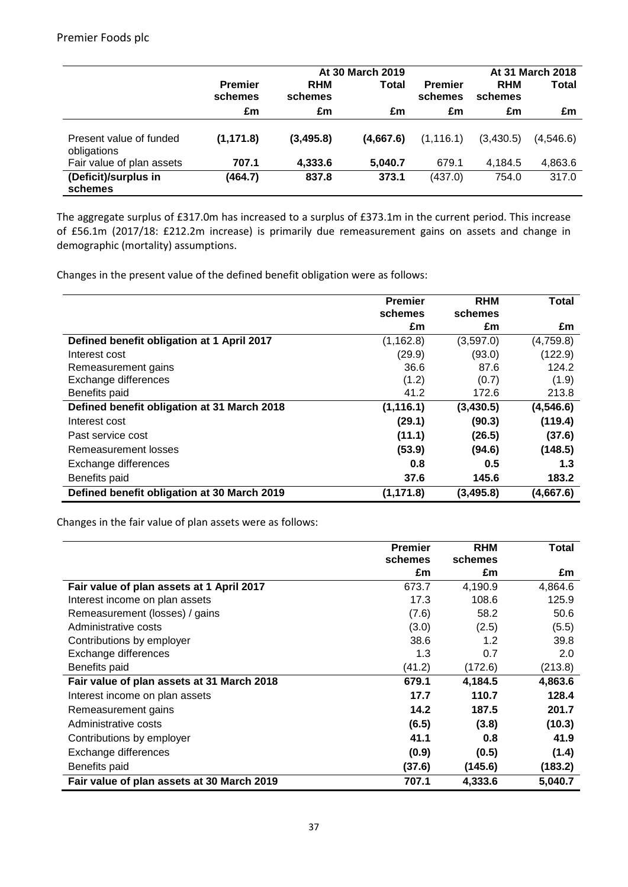|                                        |                           |                       | At 30 March 2019 |                           |                       | At 31 March 2018 |
|----------------------------------------|---------------------------|-----------------------|------------------|---------------------------|-----------------------|------------------|
|                                        | <b>Premier</b><br>schemes | <b>RHM</b><br>schemes | Total            | <b>Premier</b><br>schemes | <b>RHM</b><br>schemes | Total            |
|                                        | £m                        | £m                    | £m               | £m                        | £m                    | £m               |
|                                        |                           |                       |                  |                           |                       |                  |
| Present value of funded<br>obligations | (1, 171.8)                | (3, 495.8)            | (4,667.6)        | (1, 116.1)                | (3,430.5)             | (4,546.6)        |
| Fair value of plan assets              | 707.1                     | 4,333.6               | 5,040.7          | 679.1                     | 4,184.5               | 4,863.6          |
| (Deficit)/surplus in<br>schemes        | (464.7)                   | 837.8                 | 373.1            | (437.0)                   | 754.0                 | 317.0            |

The aggregate surplus of £317.0m has increased to a surplus of £373.1m in the current period. This increase of £56.1m (2017/18: £212.2m increase) is primarily due remeasurement gains on assets and change in demographic (mortality) assumptions.

Changes in the present value of the defined benefit obligation were as follows:

|                                             | Premier<br>schemes | <b>RHM</b><br>schemes | Total      |
|---------------------------------------------|--------------------|-----------------------|------------|
|                                             | £m                 | £m                    | £m         |
| Defined benefit obligation at 1 April 2017  | (1, 162.8)         | (3,597.0)             | (4,759.8)  |
| Interest cost                               | (29.9)             | (93.0)                | (122.9)    |
| Remeasurement gains                         | 36.6               | 87.6                  | 124.2      |
| Exchange differences                        | (1.2)              | (0.7)                 | (1.9)      |
| Benefits paid                               | 41.2               | 172.6                 | 213.8      |
| Defined benefit obligation at 31 March 2018 | (1, 116.1)         | (3,430.5)             | (4, 546.6) |
| Interest cost                               | (29.1)             | (90.3)                | (119.4)    |
| Past service cost                           | (11.1)             | (26.5)                | (37.6)     |
| Remeasurement losses                        | (53.9)             | (94.6)                | (148.5)    |
| Exchange differences                        | 0.8                | 0.5                   | 1.3        |
| Benefits paid                               | 37.6               | 145.6                 | 183.2      |
| Defined benefit obligation at 30 March 2019 | (1, 171.8)         | (3, 495.8)            | (4,667.6)  |

Changes in the fair value of plan assets were as follows:

|                                            | <b>Premier</b><br>schemes | <b>RHM</b><br>schemes | Total   |
|--------------------------------------------|---------------------------|-----------------------|---------|
|                                            | £m                        | £m                    | £m      |
| Fair value of plan assets at 1 April 2017  | 673.7                     | 4,190.9               | 4,864.6 |
| Interest income on plan assets             | 17.3                      | 108.6                 | 125.9   |
| Remeasurement (losses) / gains             | (7.6)                     | 58.2                  | 50.6    |
| Administrative costs                       | (3.0)                     | (2.5)                 | (5.5)   |
| Contributions by employer                  | 38.6                      | 1.2                   | 39.8    |
| Exchange differences                       | 1.3                       | 0.7                   | 2.0     |
| Benefits paid                              | (41.2)                    | (172.6)               | (213.8) |
| Fair value of plan assets at 31 March 2018 | 679.1                     | 4,184.5               | 4,863.6 |
| Interest income on plan assets             | 17.7                      | 110.7                 | 128.4   |
| Remeasurement gains                        | 14.2                      | 187.5                 | 201.7   |
| Administrative costs                       | (6.5)                     | (3.8)                 | (10.3)  |
| Contributions by employer                  | 41.1                      | 0.8                   | 41.9    |
| Exchange differences                       | (0.9)                     | (0.5)                 | (1.4)   |
| Benefits paid                              | (37.6)                    | (145.6)               | (183.2) |
| Fair value of plan assets at 30 March 2019 | 707.1                     | 4,333.6               | 5,040.7 |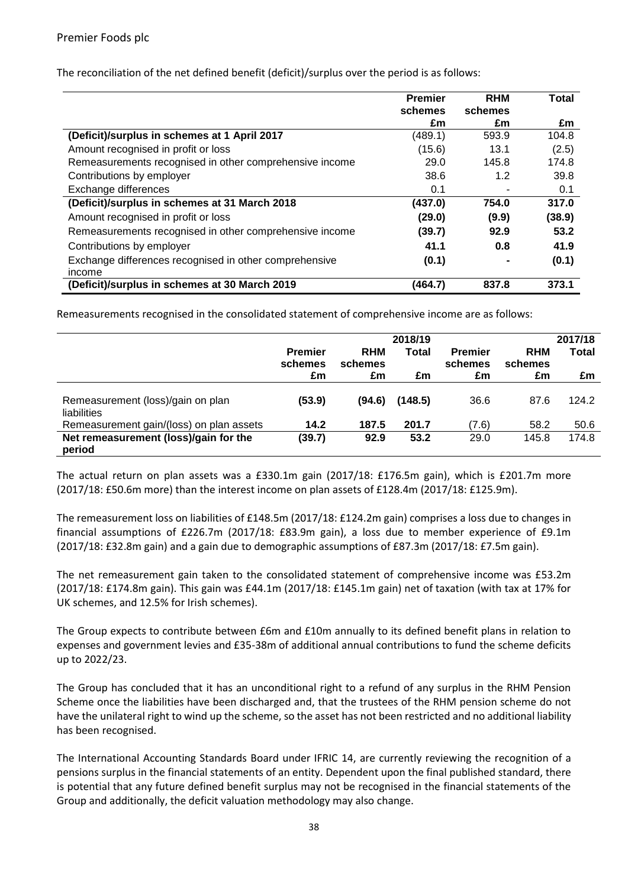The reconciliation of the net defined benefit (deficit)/surplus over the period is as follows:

|                                                         | <b>Premier</b> | <b>RHM</b> | Total  |
|---------------------------------------------------------|----------------|------------|--------|
|                                                         | schemes        | schemes    |        |
|                                                         | £m             | £m         | £m     |
| (Deficit)/surplus in schemes at 1 April 2017            | (489.1)        | 593.9      | 104.8  |
| Amount recognised in profit or loss                     | (15.6)         | 13.1       | (2.5)  |
| Remeasurements recognised in other comprehensive income | 29.0           | 145.8      | 174.8  |
| Contributions by employer                               | 38.6           | 1.2        | 39.8   |
| Exchange differences                                    | 0.1            |            | 0.1    |
| (Deficit)/surplus in schemes at 31 March 2018           | (437.0)        | 754.0      | 317.0  |
| Amount recognised in profit or loss                     | (29.0)         | (9.9)      | (38.9) |
| Remeasurements recognised in other comprehensive income | (39.7)         | 92.9       | 53.2   |
| Contributions by employer                               | 41.1           | 0.8        | 41.9   |
| Exchange differences recognised in other comprehensive  | (0.1)          |            | (0.1)  |
| income                                                  |                |            |        |
| (Deficit)/surplus in schemes at 30 March 2019           | (464.7)        | 837.8      | 373.1  |

Remeasurements recognised in the consolidated statement of comprehensive income are as follows:

|                                                  | <b>Premier</b><br>schemes | <b>RHM</b><br>schemes | 2018/19<br>Total | <b>Premier</b><br>schemes | <b>RHM</b><br>schemes | 2017/18<br><b>Total</b> |
|--------------------------------------------------|---------------------------|-----------------------|------------------|---------------------------|-----------------------|-------------------------|
|                                                  | £m                        | £m                    | £m               | £m                        | £m                    | £m                      |
| Remeasurement (loss)/gain on plan<br>liabilities | (53.9)                    | (94.6)                | (148.5)          | 36.6                      | 87.6                  | 124.2                   |
| Remeasurement gain/(loss) on plan assets         | 14.2                      | 187.5                 | 201.7            | (7.6)                     | 58.2                  | 50.6                    |
| Net remeasurement (loss)/gain for the<br>period  | (39.7)                    | 92.9                  | 53.2             | 29.0                      | 145.8                 | 174.8                   |

The actual return on plan assets was a £330.1m gain (2017/18: £176.5m gain), which is £201.7m more (2017/18: £50.6m more) than the interest income on plan assets of £128.4m (2017/18: £125.9m).

The remeasurement loss on liabilities of £148.5m (2017/18: £124.2m gain) comprises a loss due to changes in financial assumptions of £226.7m (2017/18: £83.9m gain), a loss due to member experience of £9.1m (2017/18: £32.8m gain) and a gain due to demographic assumptions of £87.3m (2017/18: £7.5m gain).

The net remeasurement gain taken to the consolidated statement of comprehensive income was £53.2m (2017/18: £174.8m gain). This gain was £44.1m (2017/18: £145.1m gain) net of taxation (with tax at 17% for UK schemes, and 12.5% for Irish schemes).

The Group expects to contribute between £6m and £10m annually to its defined benefit plans in relation to expenses and government levies and £35-38m of additional annual contributions to fund the scheme deficits up to 2022/23.

The Group has concluded that it has an unconditional right to a refund of any surplus in the RHM Pension Scheme once the liabilities have been discharged and, that the trustees of the RHM pension scheme do not have the unilateral right to wind up the scheme, so the asset has not been restricted and no additional liability has been recognised.

The International Accounting Standards Board under IFRIC 14, are currently reviewing the recognition of a pensions surplus in the financial statements of an entity. Dependent upon the final published standard, there is potential that any future defined benefit surplus may not be recognised in the financial statements of the Group and additionally, the deficit valuation methodology may also change.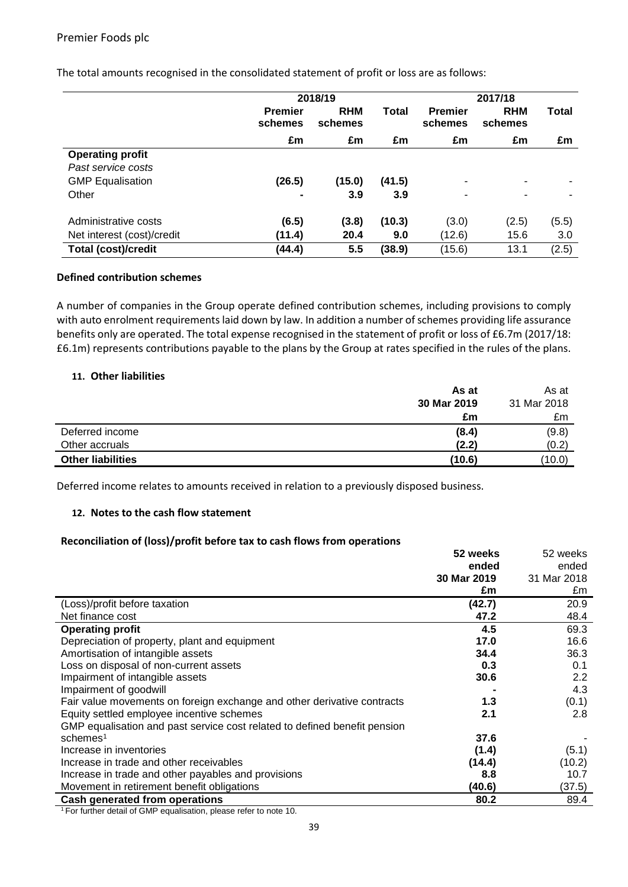The total amounts recognised in the consolidated statement of profit or loss are as follows:

|                            | 2018/19            |                       |        | 2017/18                   |                       |                          |
|----------------------------|--------------------|-----------------------|--------|---------------------------|-----------------------|--------------------------|
|                            | Premier<br>schemes | <b>RHM</b><br>schemes | Total  | <b>Premier</b><br>schemes | <b>RHM</b><br>schemes | Total                    |
|                            | £m                 | £m                    | £m     | £m                        | £m                    | £m                       |
| <b>Operating profit</b>    |                    |                       |        |                           |                       |                          |
| Past service costs         |                    |                       |        |                           |                       |                          |
| <b>GMP</b> Equalisation    | (26.5)             | (15.0)                | (41.5) | ۰                         | ۰                     |                          |
| Other                      | $\blacksquare$     | 3.9                   | 3.9    | ۰                         |                       | $\overline{\phantom{a}}$ |
| Administrative costs       | (6.5)              | (3.8)                 | (10.3) | (3.0)                     | (2.5)                 | (5.5)                    |
| Net interest (cost)/credit | (11.4)             | 20.4                  | 9.0    | (12.6)                    | 15.6                  | 3.0                      |
| <b>Total (cost)/credit</b> | (44.4)             | 5.5                   | (38.9) | (15.6)                    | 13.1                  | (2.5)                    |

#### **Defined contribution schemes**

A number of companies in the Group operate defined contribution schemes, including provisions to comply with auto enrolment requirements laid down by law. In addition a number of schemes providing life assurance benefits only are operated. The total expense recognised in the statement of profit or loss of £6.7m (2017/18: £6.1m) represents contributions payable to the plans by the Group at rates specified in the rules of the plans.

#### **11. Other liabilities**

|                          | As at       | As at       |
|--------------------------|-------------|-------------|
|                          | 30 Mar 2019 | 31 Mar 2018 |
|                          | £m          | £m          |
| Deferred income          | (8.4)       | (9.8)       |
| Other accruals           | (2.2)       | (0.2)       |
| <b>Other liabilities</b> | (10.6)      | (10.0)      |

Deferred income relates to amounts received in relation to a previously disposed business.

#### **12. Notes to the cash flow statement**

#### **Reconciliation of (loss)/profit before tax to cash flows from operations**

|                                                                           | 52 weeks    | 52 weeks    |
|---------------------------------------------------------------------------|-------------|-------------|
|                                                                           | ended       | ended       |
|                                                                           | 30 Mar 2019 | 31 Mar 2018 |
|                                                                           | £m          | £m          |
| (Loss)/profit before taxation                                             | (42.7)      | 20.9        |
| Net finance cost                                                          | 47.2        | 48.4        |
| <b>Operating profit</b>                                                   | 4.5         | 69.3        |
| Depreciation of property, plant and equipment                             | 17.0        | 16.6        |
| Amortisation of intangible assets                                         | 34.4        | 36.3        |
| Loss on disposal of non-current assets                                    | 0.3         | 0.1         |
| Impairment of intangible assets                                           | 30.6        | 2.2         |
| Impairment of goodwill                                                    |             | 4.3         |
| Fair value movements on foreign exchange and other derivative contracts   | 1.3         | (0.1)       |
| Equity settled employee incentive schemes                                 | 2.1         | 2.8         |
| GMP equalisation and past service cost related to defined benefit pension |             |             |
| schemes <sup>1</sup>                                                      | 37.6        |             |
| Increase in inventories                                                   | (1.4)       | (5.1)       |
| Increase in trade and other receivables                                   | (14.4)      | (10.2)      |
| Increase in trade and other payables and provisions                       | 8.8         | 10.7        |
| Movement in retirement benefit obligations                                | (40.6)      | (37.5)      |
| Cash generated from operations                                            | 80.2        | 89.4        |
| Ear further detail of CMD equalisation, please refer to peto 10           |             |             |

1 For further detail of GMP equalisation, please refer to note 10.